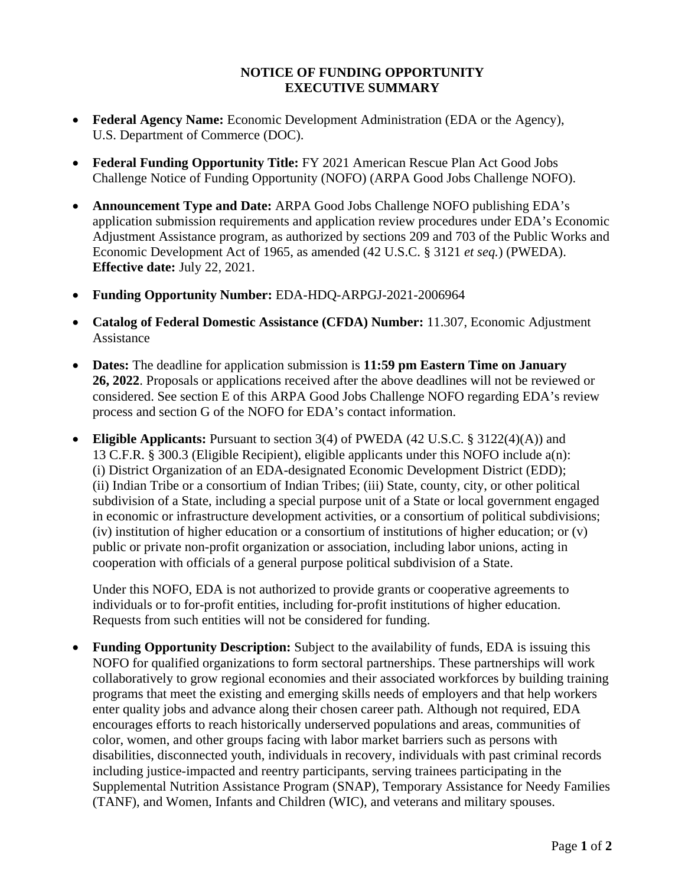### **NOTICE OF FUNDING OPPORTUNITY EXECUTIVE SUMMARY**

- **Federal Agency Name:** Economic Development Administration (EDA or the Agency), U.S. Department of Commerce (DOC).
- **Federal Funding Opportunity Title:** FY 2021 American Rescue Plan Act Good Jobs Challenge Notice of Funding Opportunity (NOFO) (ARPA Good Jobs Challenge NOFO).
- **Announcement Type and Date:** ARPA Good Jobs Challenge NOFO publishing EDA's application submission requirements and application review procedures under EDA's Economic Adjustment Assistance program, as authorized by sections 209 and 703 of the Public Works and Economic Development Act of 1965, as amended (42 U.S.C. § 3121 *et seq.*) (PWEDA). **Effective date:** July 22, 2021.
- **Funding Opportunity Number:** EDA-HDQ-ARPGJ-2021-2006964
- **Catalog of Federal Domestic Assistance (CFDA) Number:** 11.307, Economic Adjustment Assistance
- **Dates:** The deadline for application submission is **11:59 pm Eastern Time on January 26, 2022**. Proposals or applications received after the above deadlines will not be reviewed or considered. See section [E](#page-26-0) of this ARPA Good Jobs Challenge NOFO regarding EDA's review process and section [G](#page-32-0) of the NOFO for EDA's contact information.
- **Eligible Applicants:** Pursuant to section 3(4) of PWEDA (42 U.S.C. § 3122(4)(A)) and 13 C.F.R. § 300.3 (Eligible Recipient), eligible applicants under this NOFO include a(n): (i) District Organization of an EDA-designated Economic Development District (EDD); (ii) Indian Tribe or a consortium of Indian Tribes; (iii) State, county, city, or other political subdivision of a State, including a special purpose unit of a State or local government engaged in economic or infrastructure development activities, or a consortium of political subdivisions; (iv) institution of higher education or a consortium of institutions of higher education; or (v) public or private non-profit organization or association, including labor unions, acting in cooperation with officials of a general purpose political subdivision of a State.

Under this NOFO, EDA is not authorized to provide grants or cooperative agreements to individuals or to for-profit entities, including for-profit institutions of higher education. Requests from such entities will not be considered for funding.

• **Funding Opportunity Description:** Subject to the availability of funds, EDA is issuing this NOFO for qualified organizations to form sectoral partnerships. These partnerships will work collaboratively to grow regional economies and their associated workforces by building training programs that meet the existing and emerging skills needs of employers and that help workers enter quality jobs and advance along their chosen career path. Although not required, EDA encourages efforts to reach historically underserved populations and areas, communities of color, women, and other groups facing with labor market barriers such as persons with disabilities, disconnected youth, individuals in recovery, individuals with past criminal records including justice-impacted and reentry participants, serving trainees participating in the Supplemental Nutrition Assistance Program (SNAP), Temporary Assistance for Needy Families (TANF), and Women, Infants and Children (WIC), and veterans and military spouses.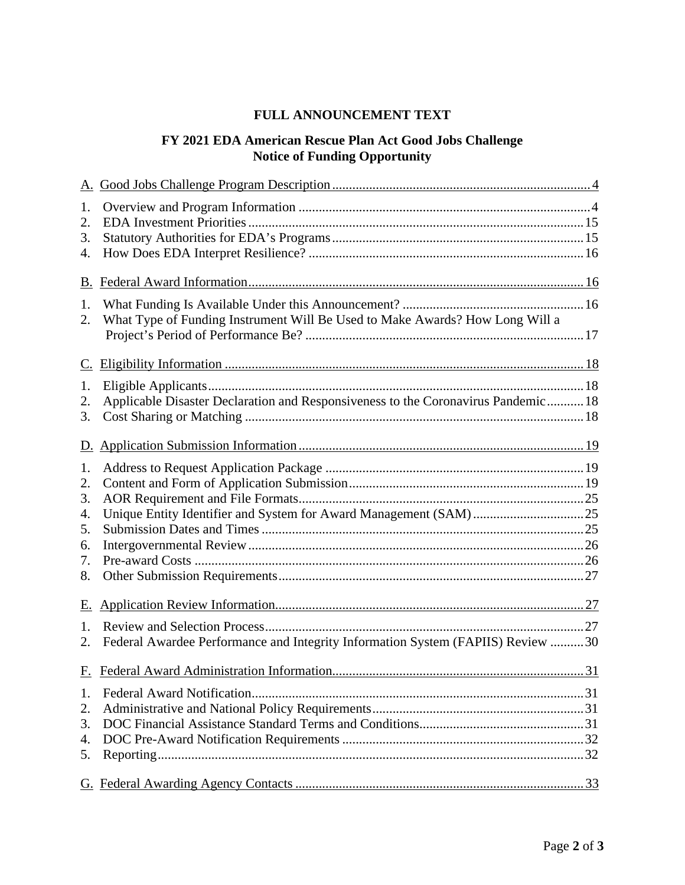## **FULL ANNOUNCEMENT TEXT**

# **FY 2021 EDA American Rescue Plan Act Good Jobs Challenge Notice of Funding Opportunity**

| 1.       |                                                                                    |  |
|----------|------------------------------------------------------------------------------------|--|
| 2.       |                                                                                    |  |
| 3.       |                                                                                    |  |
| 4.       |                                                                                    |  |
|          |                                                                                    |  |
|          |                                                                                    |  |
| 1.       |                                                                                    |  |
| 2.       | What Type of Funding Instrument Will Be Used to Make Awards? How Long Will a       |  |
|          |                                                                                    |  |
|          |                                                                                    |  |
| 1.       |                                                                                    |  |
| 2.       | Applicable Disaster Declaration and Responsiveness to the Coronavirus Pandemic  18 |  |
| 3.       |                                                                                    |  |
|          |                                                                                    |  |
|          |                                                                                    |  |
| 1.       |                                                                                    |  |
| 2.       |                                                                                    |  |
| 3.       |                                                                                    |  |
| 4.       |                                                                                    |  |
| 5.       |                                                                                    |  |
| 6.       |                                                                                    |  |
| 7.       |                                                                                    |  |
| 8.       |                                                                                    |  |
| Е.       |                                                                                    |  |
|          |                                                                                    |  |
| 1.<br>2. | Federal Awardee Performance and Integrity Information System (FAPIIS) Review 30    |  |
|          |                                                                                    |  |
|          |                                                                                    |  |
| 1.       |                                                                                    |  |
| 2.       |                                                                                    |  |
| 3.       |                                                                                    |  |
| 4.       |                                                                                    |  |
| 5.       |                                                                                    |  |
|          |                                                                                    |  |
|          |                                                                                    |  |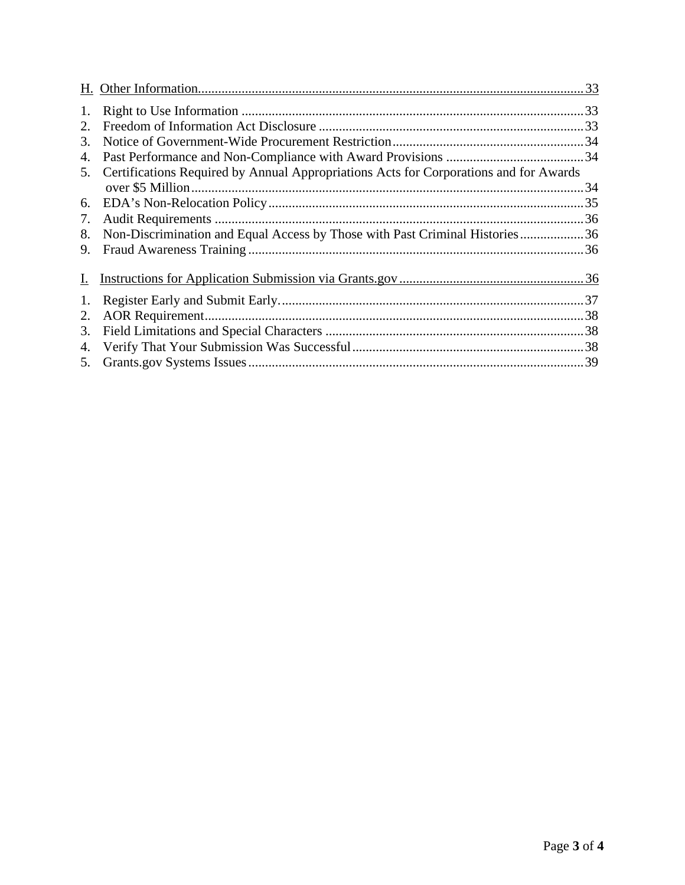| 1. |                                                                                       |  |
|----|---------------------------------------------------------------------------------------|--|
| 2. |                                                                                       |  |
| 3. |                                                                                       |  |
| 4. |                                                                                       |  |
| 5. | Certifications Required by Annual Appropriations Acts for Corporations and for Awards |  |
|    |                                                                                       |  |
| 6. |                                                                                       |  |
| 7. |                                                                                       |  |
| 8. | Non-Discrimination and Equal Access by Those with Past Criminal Histories36           |  |
| 9. |                                                                                       |  |
|    |                                                                                       |  |
| 1. |                                                                                       |  |
| 2. |                                                                                       |  |
| 3. |                                                                                       |  |
| 4. |                                                                                       |  |
| 5. |                                                                                       |  |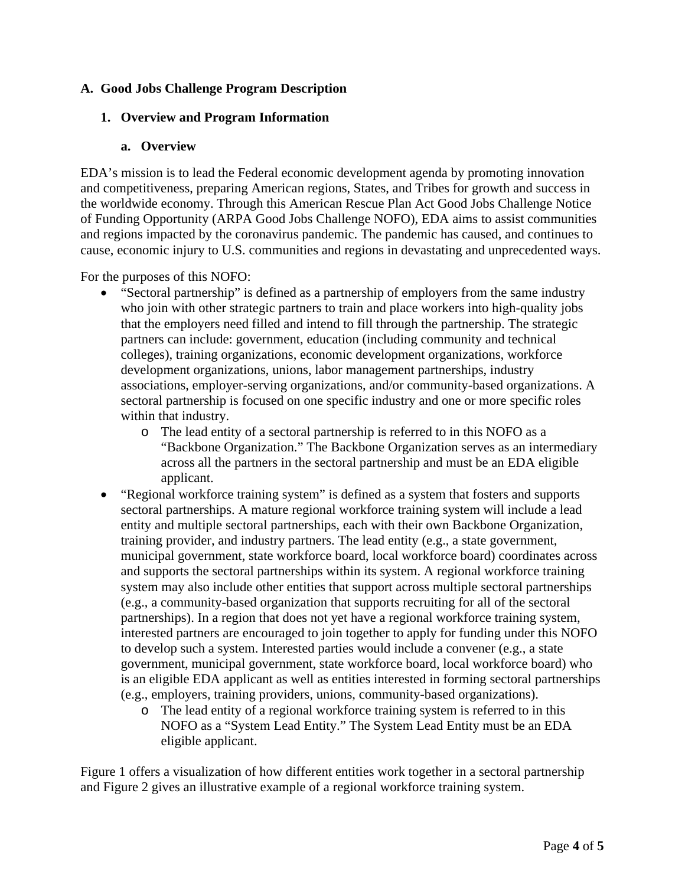## <span id="page-3-0"></span>**A. Good Jobs Challenge Program Description**

## <span id="page-3-1"></span>**1. Overview and Program Information**

### **a. Overview**

EDA's mission is to lead the Federal economic development agenda by promoting innovation and competitiveness, preparing American regions, States, and Tribes for growth and success in the worldwide economy. Through this American Rescue Plan Act Good Jobs Challenge Notice of Funding Opportunity (ARPA Good Jobs Challenge NOFO), EDA aims to assist communities and regions impacted by the coronavirus pandemic. The pandemic has caused, and continues to cause, economic injury to U.S. communities and regions in devastating and unprecedented ways.

For the purposes of this NOFO:

- "Sectoral partnership" is defined as a partnership of employers from the same industry who join with other strategic partners to train and place workers into high-quality jobs that the employers need filled and intend to fill through the partnership. The strategic partners can include: government, education (including community and technical colleges), training organizations, economic development organizations, workforce development organizations, unions, labor management partnerships, industry associations, employer-serving organizations, and/or community-based organizations. A sectoral partnership is focused on one specific industry and one or more specific roles within that industry.
	- o The lead entity of a sectoral partnership is referred to in this NOFO as a "Backbone Organization." The Backbone Organization serves as an intermediary across all the partners in the sectoral partnership and must be an EDA eligible applicant.
- "Regional workforce training system" is defined as a system that fosters and supports sectoral partnerships. A mature regional workforce training system will include a lead entity and multiple sectoral partnerships, each with their own Backbone Organization, training provider, and industry partners. The lead entity (e.g., a state government, municipal government, state workforce board, local workforce board) coordinates across and supports the sectoral partnerships within its system. A regional workforce training system may also include other entities that support across multiple sectoral partnerships (e.g., a community-based organization that supports recruiting for all of the sectoral partnerships). In a region that does not yet have a regional workforce training system, interested partners are encouraged to join together to apply for funding under this NOFO to develop such a system. Interested parties would include a convener (e.g., a state government, municipal government, state workforce board, local workforce board) who is an eligible EDA applicant as well as entities interested in forming sectoral partnerships (e.g., employers, training providers, unions, community-based organizations).
	- o The lead entity of a regional workforce training system is referred to in this NOFO as a "System Lead Entity." The System Lead Entity must be an EDA eligible applicant.

Figure 1 offers a visualization of how different entities work together in a sectoral partnership and Figure 2 gives an illustrative example of a regional workforce training system.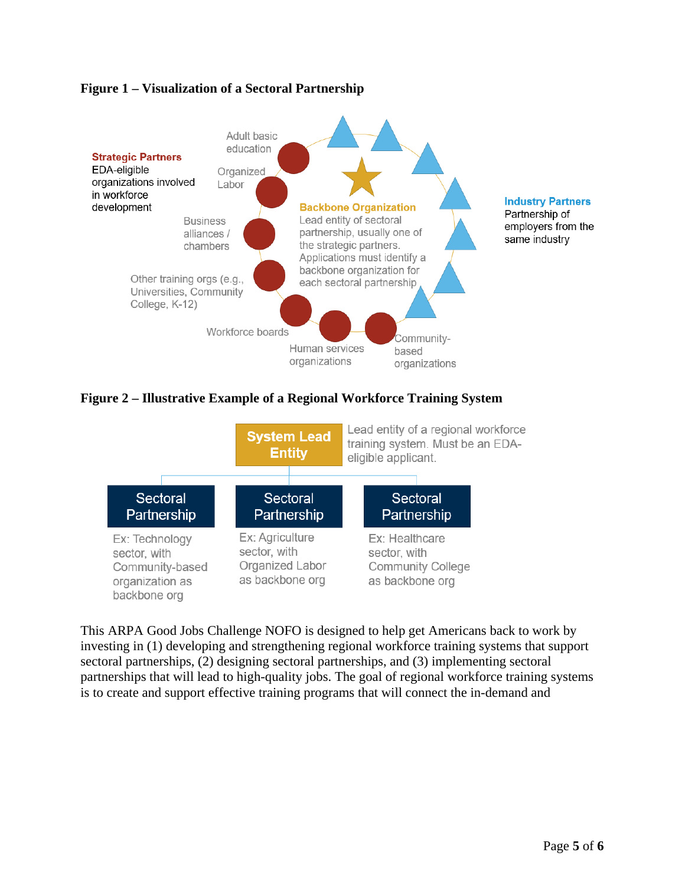## **Figure 1 – Visualization of a Sectoral Partnership**



## **Figure 2 – Illustrative Example of a Regional Workforce Training System**



This ARPA Good Jobs Challenge NOFO is designed to help get Americans back to work by investing in (1) developing and strengthening regional workforce training systems that support sectoral partnerships, (2) designing sectoral partnerships, and (3) implementing sectoral partnerships that will lead to high-quality jobs. The goal of regional workforce training systems is to create and support effective training programs that will connect the in-demand and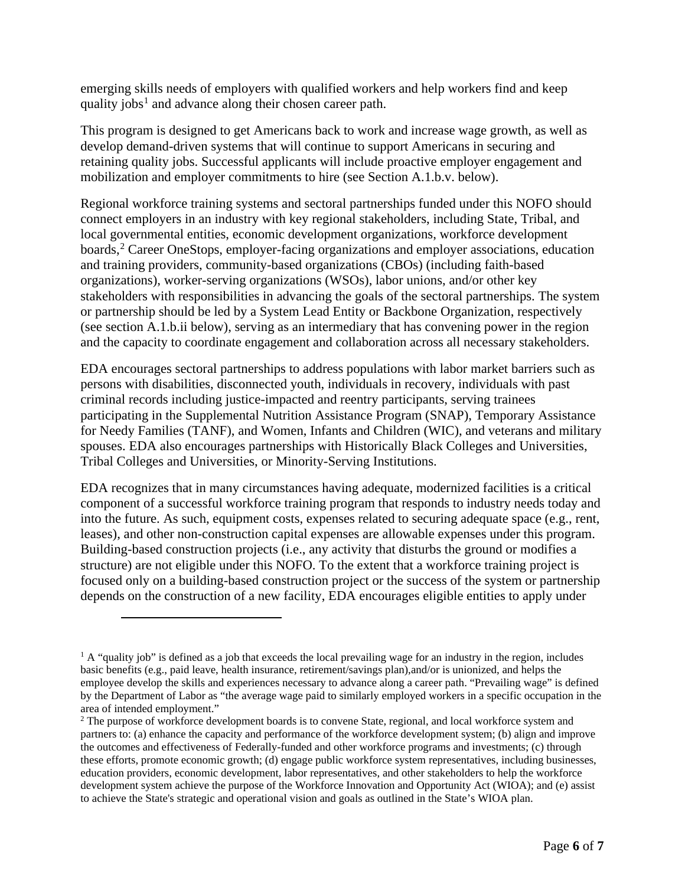emerging skills needs of employers with qualified workers and help workers find and keep quality jobs<sup>[1](#page-5-0)</sup> and advance along their chosen career path.

This program is designed to get Americans back to work and increase wage growth, as well as develop demand-driven systems that will continue to support Americans in securing and retaining quality jobs. Successful applicants will include proactive employer engagement and mobilization and employer commitments to hire (see Section A.1.b.v. below).

Regional workforce training systems and sectoral partnerships funded under this NOFO should connect employers in an industry with key regional stakeholders, including State, Tribal, and local governmental entities, economic development organizations, workforce development boards,<sup>[2](#page-5-1)</sup> Career OneStops, employer-facing organizations and employer associations, education and training providers, community-based organizations (CBOs) (including faith-based organizations), worker-serving organizations (WSOs), labor unions, and/or other key stakeholders with responsibilities in advancing the goals of the sectoral partnerships. The system or partnership should be led by a System Lead Entity or Backbone Organization, respectively (see section A.1.b.ii below), serving as an intermediary that has convening power in the region and the capacity to coordinate engagement and collaboration across all necessary stakeholders.

EDA encourages sectoral partnerships to address populations with labor market barriers such as persons with disabilities, disconnected youth, individuals in recovery, individuals with past criminal records including justice-impacted and reentry participants, serving trainees participating in the Supplemental Nutrition Assistance Program (SNAP), Temporary Assistance for Needy Families (TANF), and Women, Infants and Children (WIC), and veterans and military spouses. EDA also encourages partnerships with Historically Black Colleges and Universities, Tribal Colleges and Universities, or Minority-Serving Institutions.

EDA recognizes that in many circumstances having adequate, modernized facilities is a critical component of a successful workforce training program that responds to industry needs today and into the future. As such, equipment costs, expenses related to securing adequate space (e.g., rent, leases), and other non-construction capital expenses are allowable expenses under this program. Building-based construction projects (i.e., any activity that disturbs the ground or modifies a structure) are not eligible under this NOFO. To the extent that a workforce training project is focused only on a building-based construction project or the success of the system or partnership depends on the construction of a new facility, EDA encourages eligible entities to apply under

<span id="page-5-0"></span> $1 A$  "quality job" is defined as a job that exceeds the local prevailing wage for an industry in the region, includes basic benefits (e.g., paid leave, health insurance, retirement/savings plan),and/or is unionized, and helps the employee develop the skills and experiences necessary to advance along a career path. "Prevailing wage" is defined by the Department of Labor as "the average wage paid to similarly employed workers in a specific occupation in the area of intended employment."

<span id="page-5-1"></span><sup>&</sup>lt;sup>2</sup> The purpose of workforce development boards is to convene State, regional, and local workforce system and partners to: (a) enhance the capacity and performance of the workforce development system; (b) align and improve the outcomes and effectiveness of Federally-funded and other workforce programs and investments; (c) through these efforts, promote economic growth; (d) engage public workforce system representatives, including businesses, education providers, economic development, labor representatives, and other stakeholders to help the workforce development system achieve the purpose of the Workforce Innovation and Opportunity Act (WIOA); and (e) assist to achieve the State's strategic and operational vision and goals as outlined in the State's WIOA plan.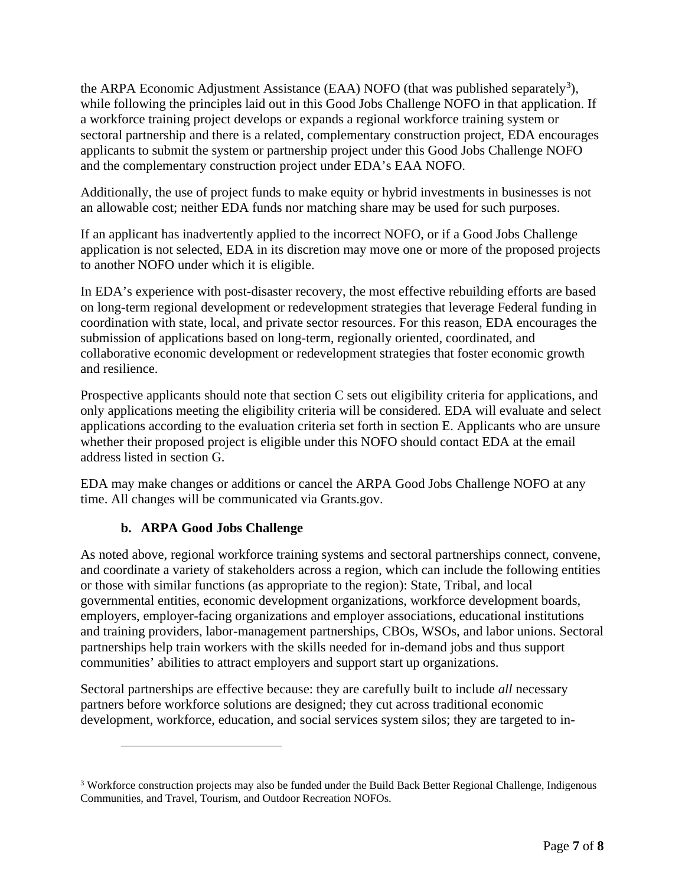the ARPA Economic Adjustment Assistance (EAA) NOFO (that was published separately<sup>[3](#page-6-0)</sup>), while following the principles laid out in this Good Jobs Challenge NOFO in that application. If a workforce training project develops or expands a regional workforce training system or sectoral partnership and there is a related, complementary construction project, EDA encourages applicants to submit the system or partnership project under this Good Jobs Challenge NOFO and the complementary construction project under EDA's EAA NOFO.

Additionally, the use of project funds to make equity or hybrid investments in businesses is not an allowable cost; neither EDA funds nor matching share may be used for such purposes.

If an applicant has inadvertently applied to the incorrect NOFO, or if a Good Jobs Challenge application is not selected, EDA in its discretion may move one or more of the proposed projects to another NOFO under which it is eligible.

In EDA's experience with post-disaster recovery, the most effective rebuilding efforts are based on long-term regional development or redevelopment strategies that leverage Federal funding in coordination with state, local, and private sector resources. For this reason, EDA encourages the submission of applications based on long-term, regionally oriented, coordinated, and collaborative economic development or redevelopment strategies that foster economic growth and resilience.

Prospective applicants should note that section [C](#page-17-0) sets out eligibility criteria for applications, and only applications meeting the eligibility criteria will be considered. EDA will evaluate and select applications according to the evaluation criteria set forth in section [E.](#page-26-0) Applicants who are unsure whether their proposed project is eligible under this NOFO should contact EDA at the email address listed in section G.

EDA may make changes or additions or cancel the ARPA Good Jobs Challenge NOFO at any time. All changes will be communicated via Grants.gov.

## **b. ARPA Good Jobs Challenge**

As noted above, regional workforce training systems and sectoral partnerships connect, convene, and coordinate a variety of stakeholders across a region, which can include the following entities or those with similar functions (as appropriate to the region): State, Tribal, and local governmental entities, economic development organizations, workforce development boards, employers, employer-facing organizations and employer associations, educational institutions and training providers, labor-management partnerships, CBOs, WSOs, and labor unions. Sectoral partnerships help train workers with the skills needed for in-demand jobs and thus support communities' abilities to attract employers and support start up organizations.

Sectoral partnerships are effective because: they are carefully built to include *all* necessary partners before workforce solutions are designed; they cut across traditional economic development, workforce, education, and social services system silos; they are targeted to in-

<span id="page-6-0"></span><sup>3</sup> Workforce construction projects may also be funded under the Build Back Better Regional Challenge, Indigenous Communities, and Travel, Tourism, and Outdoor Recreation NOFOs.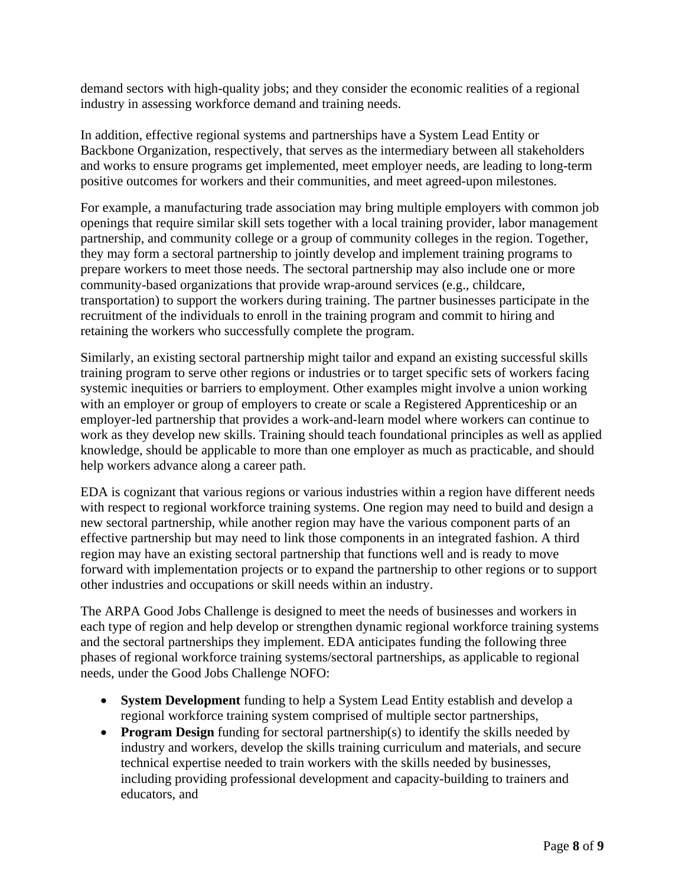demand sectors with high-quality jobs; and they consider the economic realities of a regional industry in assessing workforce demand and training needs.

In addition, effective regional systems and partnerships have a System Lead Entity or Backbone Organization, respectively, that serves as the intermediary between all stakeholders and works to ensure programs get implemented, meet employer needs, are leading to long-term positive outcomes for workers and their communities, and meet agreed-upon milestones.

For example, a manufacturing trade association may bring multiple employers with common job openings that require similar skill sets together with a local training provider, labor management partnership, and community college or a group of community colleges in the region. Together, they may form a sectoral partnership to jointly develop and implement training programs to prepare workers to meet those needs. The sectoral partnership may also include one or more community-based organizations that provide wrap-around services (e.g., childcare, transportation) to support the workers during training. The partner businesses participate in the recruitment of the individuals to enroll in the training program and commit to hiring and retaining the workers who successfully complete the program.

Similarly, an existing sectoral partnership might tailor and expand an existing successful skills training program to serve other regions or industries or to target specific sets of workers facing systemic inequities or barriers to employment. Other examples might involve a union working with an employer or group of employers to create or scale a Registered Apprenticeship or an employer-led partnership that provides a work-and-learn model where workers can continue to work as they develop new skills. Training should teach foundational principles as well as applied knowledge, should be applicable to more than one employer as much as practicable, and should help workers advance along a career path.

EDA is cognizant that various regions or various industries within a region have different needs with respect to regional workforce training systems. One region may need to build and design a new sectoral partnership, while another region may have the various component parts of an effective partnership but may need to link those components in an integrated fashion. A third region may have an existing sectoral partnership that functions well and is ready to move forward with implementation projects or to expand the partnership to other regions or to support other industries and occupations or skill needs within an industry.

The ARPA Good Jobs Challenge is designed to meet the needs of businesses and workers in each type of region and help develop or strengthen dynamic regional workforce training systems and the sectoral partnerships they implement. EDA anticipates funding the following three phases of regional workforce training systems/sectoral partnerships, as applicable to regional needs, under the Good Jobs Challenge NOFO:

- **System Development** funding to help a System Lead Entity establish and develop a regional workforce training system comprised of multiple sector partnerships,
- **Program Design** funding for sectoral partnership(s) to identify the skills needed by industry and workers, develop the skills training curriculum and materials, and secure technical expertise needed to train workers with the skills needed by businesses, including providing professional development and capacity-building to trainers and educators, and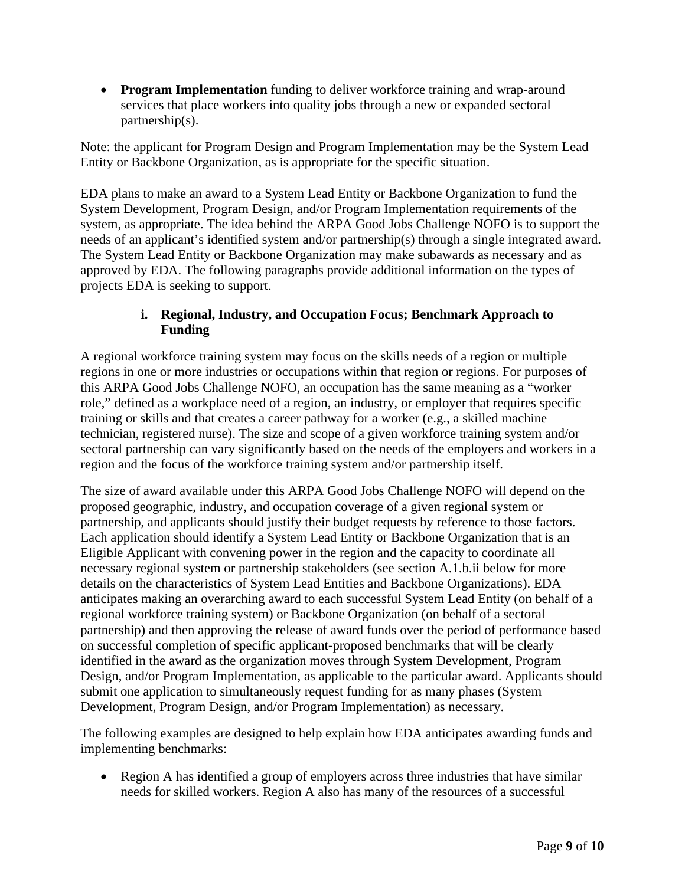• **Program Implementation** funding to deliver workforce training and wrap-around services that place workers into quality jobs through a new or expanded sectoral partnership(s).

Note: the applicant for Program Design and Program Implementation may be the System Lead Entity or Backbone Organization, as is appropriate for the specific situation.

EDA plans to make an award to a System Lead Entity or Backbone Organization to fund the System Development, Program Design, and/or Program Implementation requirements of the system, as appropriate. The idea behind the ARPA Good Jobs Challenge NOFO is to support the needs of an applicant's identified system and/or partnership(s) through a single integrated award. The System Lead Entity or Backbone Organization may make subawards as necessary and as approved by EDA. The following paragraphs provide additional information on the types of projects EDA is seeking to support.

## **i. Regional, Industry, and Occupation Focus; Benchmark Approach to Funding**

<span id="page-8-0"></span>A regional workforce training system may focus on the skills needs of a region or multiple regions in one or more industries or occupations within that region or regions. For purposes of this ARPA Good Jobs Challenge NOFO, an occupation has the same meaning as a "worker role," defined as a workplace need of a region, an industry, or employer that requires specific training or skills and that creates a career pathway for a worker (e.g., a skilled machine technician, registered nurse). The size and scope of a given workforce training system and/or sectoral partnership can vary significantly based on the needs of the employers and workers in a region and the focus of the workforce training system and/or partnership itself.

The size of award available under this ARPA Good Jobs Challenge NOFO will depend on the proposed geographic, industry, and occupation coverage of a given regional system or partnership, and applicants should justify their budget requests by reference to those factors. Each application should identify a System Lead Entity or Backbone Organization that is an Eligible Applicant with convening power in the region and the capacity to coordinate all necessary regional system or partnership stakeholders (see section [A.1.b.ii](#page-10-0) below for more details on the characteristics of System Lead Entities and Backbone Organizations). EDA anticipates making an overarching award to each successful System Lead Entity (on behalf of a regional workforce training system) or Backbone Organization (on behalf of a sectoral partnership) and then approving the release of award funds over the period of performance based on successful completion of specific applicant-proposed benchmarks that will be clearly identified in the award as the organization moves through System Development, Program Design, and/or Program Implementation, as applicable to the particular award. Applicants should submit one application to simultaneously request funding for as many phases (System Development, Program Design, and/or Program Implementation) as necessary.

The following examples are designed to help explain how EDA anticipates awarding funds and implementing benchmarks:

• Region A has identified a group of employers across three industries that have similar needs for skilled workers. Region A also has many of the resources of a successful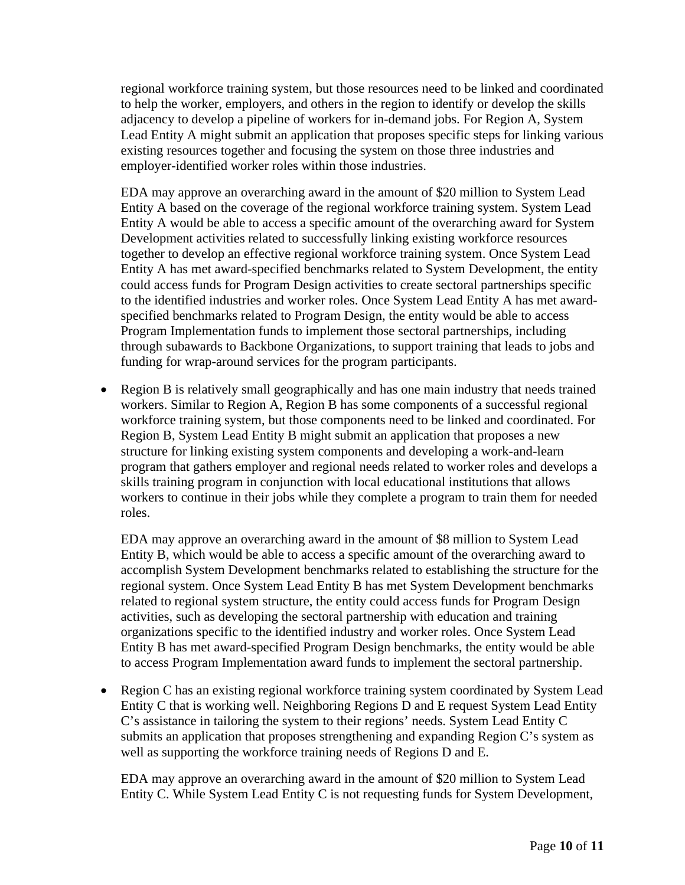regional workforce training system, but those resources need to be linked and coordinated to help the worker, employers, and others in the region to identify or develop the skills adjacency to develop a pipeline of workers for in-demand jobs. For Region A, System Lead Entity A might submit an application that proposes specific steps for linking various existing resources together and focusing the system on those three industries and employer-identified worker roles within those industries.

EDA may approve an overarching award in the amount of \$20 million to System Lead Entity A based on the coverage of the regional workforce training system. System Lead Entity A would be able to access a specific amount of the overarching award for System Development activities related to successfully linking existing workforce resources together to develop an effective regional workforce training system. Once System Lead Entity A has met award-specified benchmarks related to System Development, the entity could access funds for Program Design activities to create sectoral partnerships specific to the identified industries and worker roles. Once System Lead Entity A has met awardspecified benchmarks related to Program Design, the entity would be able to access Program Implementation funds to implement those sectoral partnerships, including through subawards to Backbone Organizations, to support training that leads to jobs and funding for wrap-around services for the program participants.

• Region B is relatively small geographically and has one main industry that needs trained workers. Similar to Region A, Region B has some components of a successful regional workforce training system, but those components need to be linked and coordinated. For Region B, System Lead Entity B might submit an application that proposes a new structure for linking existing system components and developing a work-and-learn program that gathers employer and regional needs related to worker roles and develops a skills training program in conjunction with local educational institutions that allows workers to continue in their jobs while they complete a program to train them for needed roles.

EDA may approve an overarching award in the amount of \$8 million to System Lead Entity B, which would be able to access a specific amount of the overarching award to accomplish System Development benchmarks related to establishing the structure for the regional system. Once System Lead Entity B has met System Development benchmarks related to regional system structure, the entity could access funds for Program Design activities, such as developing the sectoral partnership with education and training organizations specific to the identified industry and worker roles. Once System Lead Entity B has met award-specified Program Design benchmarks, the entity would be able to access Program Implementation award funds to implement the sectoral partnership.

• Region C has an existing regional workforce training system coordinated by System Lead Entity C that is working well. Neighboring Regions D and E request System Lead Entity C's assistance in tailoring the system to their regions' needs. System Lead Entity C submits an application that proposes strengthening and expanding Region C's system as well as supporting the workforce training needs of Regions D and E.

EDA may approve an overarching award in the amount of \$20 million to System Lead Entity C. While System Lead Entity C is not requesting funds for System Development,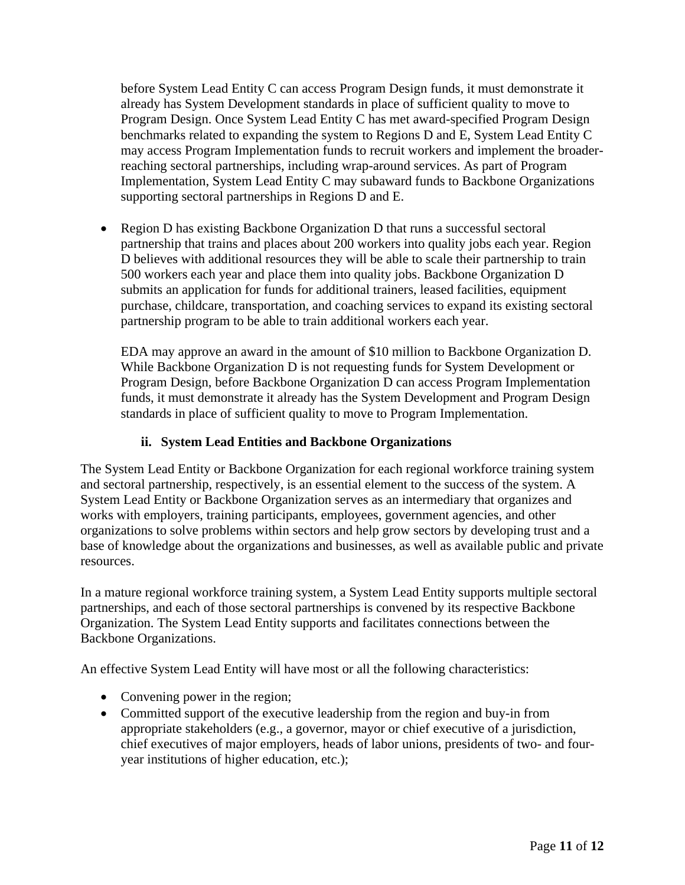before System Lead Entity C can access Program Design funds, it must demonstrate it already has System Development standards in place of sufficient quality to move to Program Design. Once System Lead Entity C has met award-specified Program Design benchmarks related to expanding the system to Regions D and E, System Lead Entity C may access Program Implementation funds to recruit workers and implement the broaderreaching sectoral partnerships, including wrap-around services. As part of Program Implementation, System Lead Entity C may subaward funds to Backbone Organizations supporting sectoral partnerships in Regions D and E.

• Region D has existing Backbone Organization D that runs a successful sectoral partnership that trains and places about 200 workers into quality jobs each year. Region D believes with additional resources they will be able to scale their partnership to train 500 workers each year and place them into quality jobs. Backbone Organization D submits an application for funds for additional trainers, leased facilities, equipment purchase, childcare, transportation, and coaching services to expand its existing sectoral partnership program to be able to train additional workers each year.

EDA may approve an award in the amount of \$10 million to Backbone Organization D. While Backbone Organization D is not requesting funds for System Development or Program Design, before Backbone Organization D can access Program Implementation funds, it must demonstrate it already has the System Development and Program Design standards in place of sufficient quality to move to Program Implementation.

## **ii. System Lead Entities and Backbone Organizations**

<span id="page-10-0"></span>The System Lead Entity or Backbone Organization for each regional workforce training system and sectoral partnership, respectively, is an essential element to the success of the system. A System Lead Entity or Backbone Organization serves as an intermediary that organizes and works with employers, training participants, employees, government agencies, and other organizations to solve problems within sectors and help grow sectors by developing trust and a base of knowledge about the organizations and businesses, as well as available public and private resources.

In a mature regional workforce training system, a System Lead Entity supports multiple sectoral partnerships, and each of those sectoral partnerships is convened by its respective Backbone Organization. The System Lead Entity supports and facilitates connections between the Backbone Organizations.

An effective System Lead Entity will have most or all the following characteristics:

- Convening power in the region;
- Committed support of the executive leadership from the region and buy-in from appropriate stakeholders (e.g., a governor, mayor or chief executive of a jurisdiction, chief executives of major employers, heads of labor unions, presidents of two- and fouryear institutions of higher education, etc.);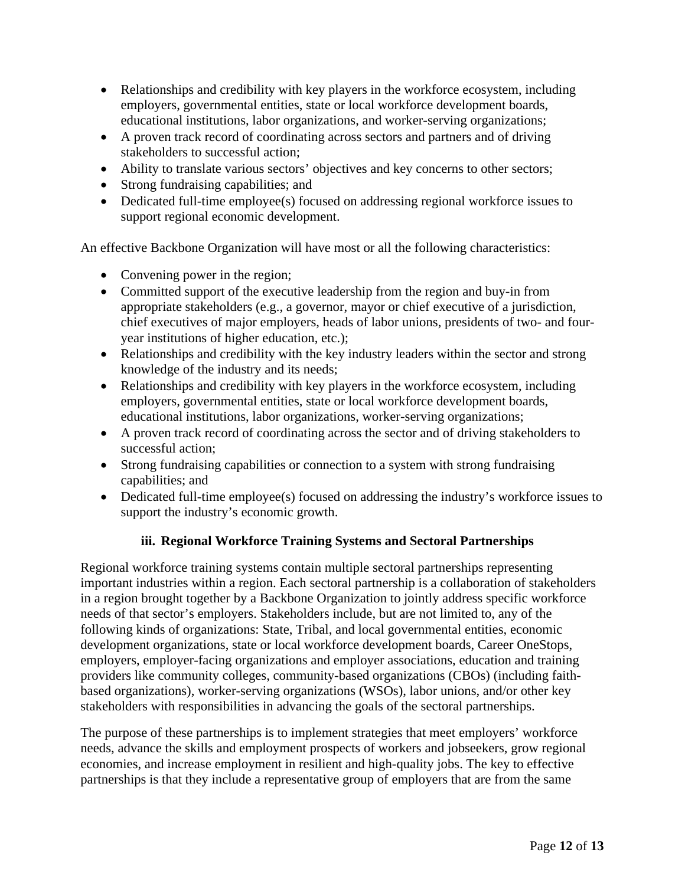- Relationships and credibility with key players in the workforce ecosystem, including employers, governmental entities, state or local workforce development boards, educational institutions, labor organizations, and worker-serving organizations;
- A proven track record of coordinating across sectors and partners and of driving stakeholders to successful action;
- Ability to translate various sectors' objectives and key concerns to other sectors;
- Strong fundraising capabilities; and
- Dedicated full-time employee(s) focused on addressing regional workforce issues to support regional economic development.

An effective Backbone Organization will have most or all the following characteristics:

- Convening power in the region;
- Committed support of the executive leadership from the region and buy-in from appropriate stakeholders (e.g., a governor, mayor or chief executive of a jurisdiction, chief executives of major employers, heads of labor unions, presidents of two- and fouryear institutions of higher education, etc.);
- Relationships and credibility with the key industry leaders within the sector and strong knowledge of the industry and its needs;
- Relationships and credibility with key players in the workforce ecosystem, including employers, governmental entities, state or local workforce development boards, educational institutions, labor organizations, worker-serving organizations;
- A proven track record of coordinating across the sector and of driving stakeholders to successful action;
- Strong fundraising capabilities or connection to a system with strong fundraising capabilities; and
- Dedicated full-time employee(s) focused on addressing the industry's workforce issues to support the industry's economic growth.

## **iii. Regional Workforce Training Systems and Sectoral Partnerships**

Regional workforce training systems contain multiple sectoral partnerships representing important industries within a region. Each sectoral partnership is a collaboration of stakeholders in a region brought together by a Backbone Organization to jointly address specific workforce needs of that sector's employers. Stakeholders include, but are not limited to, any of the following kinds of organizations: State, Tribal, and local governmental entities, economic development organizations, state or local workforce development boards, Career OneStops, employers, employer-facing organizations and employer associations, education and training providers like community colleges, community-based organizations (CBOs) (including faithbased organizations), worker-serving organizations (WSOs), labor unions, and/or other key stakeholders with responsibilities in advancing the goals of the sectoral partnerships.

The purpose of these partnerships is to implement strategies that meet employers' workforce needs, advance the skills and employment prospects of workers and jobseekers, grow regional economies, and increase employment in resilient and high-quality jobs. The key to effective partnerships is that they include a representative group of employers that are from the same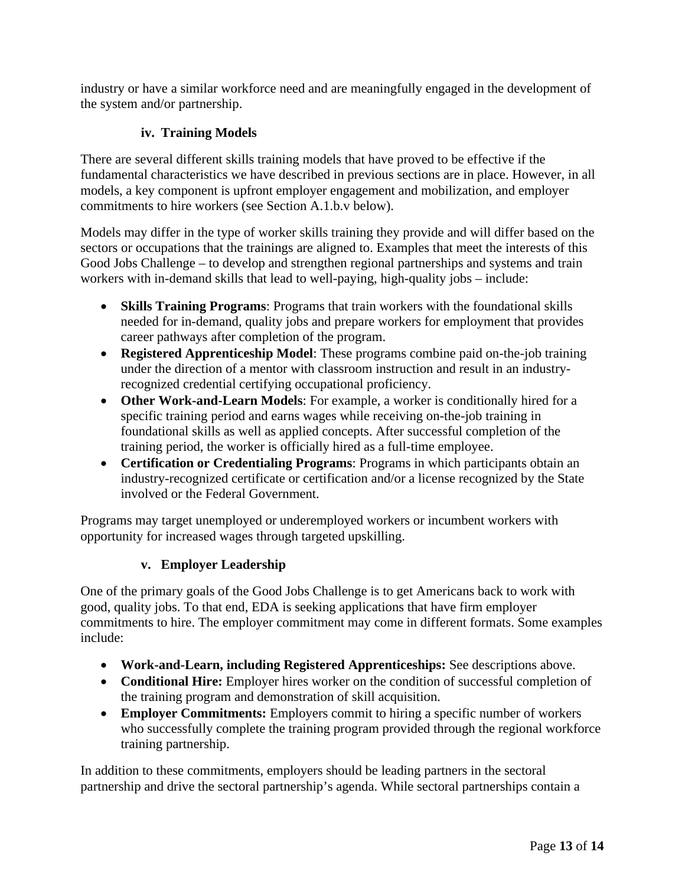industry or have a similar workforce need and are meaningfully engaged in the development of the system and/or partnership.

## **iv. Training Models**

There are several different skills training models that have proved to be effective if the fundamental characteristics we have described in previous sections are in place. However, in all models, a key component is upfront employer engagement and mobilization, and employer commitments to hire workers (see Section A.1.b.v below).

Models may differ in the type of worker skills training they provide and will differ based on the sectors or occupations that the trainings are aligned to. Examples that meet the interests of this Good Jobs Challenge – to develop and strengthen regional partnerships and systems and train workers with in-demand skills that lead to well-paying, high-quality jobs – include:

- **Skills Training Programs**: Programs that train workers with the foundational skills needed for in-demand, quality jobs and prepare workers for employment that provides career pathways after completion of the program.
- **Registered Apprenticeship Model**: These programs combine paid on-the-job training under the direction of a mentor with classroom instruction and result in an industryrecognized credential certifying occupational proficiency.
- **Other Work-and-Learn Models**: For example, a worker is conditionally hired for a specific training period and earns wages while receiving on-the-job training in foundational skills as well as applied concepts. After successful completion of the training period, the worker is officially hired as a full-time employee.
- **Certification or Credentialing Programs**: Programs in which participants obtain an industry-recognized certificate or certification and/or a license recognized by the State involved or the Federal Government.

Programs may target unemployed or underemployed workers or incumbent workers with opportunity for increased wages through targeted upskilling.

## **v. Employer Leadership**

One of the primary goals of the Good Jobs Challenge is to get Americans back to work with good, quality jobs. To that end, EDA is seeking applications that have firm employer commitments to hire. The employer commitment may come in different formats. Some examples include:

- **Work-and-Learn, including Registered Apprenticeships:** See descriptions above.
- **Conditional Hire:** Employer hires worker on the condition of successful completion of the training program and demonstration of skill acquisition.
- **Employer Commitments:** Employers commit to hiring a specific number of workers who successfully complete the training program provided through the regional workforce training partnership.

In addition to these commitments, employers should be leading partners in the sectoral partnership and drive the sectoral partnership's agenda. While sectoral partnerships contain a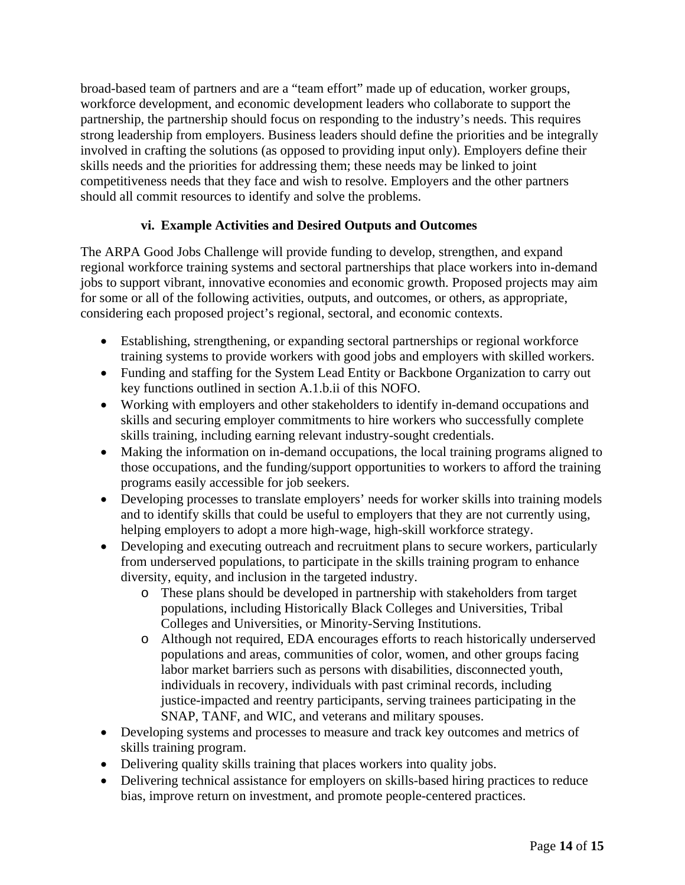broad-based team of partners and are a "team effort" made up of education, worker groups, workforce development, and economic development leaders who collaborate to support the partnership, the partnership should focus on responding to the industry's needs. This requires strong leadership from employers. Business leaders should define the priorities and be integrally involved in crafting the solutions (as opposed to providing input only). Employers define their skills needs and the priorities for addressing them; these needs may be linked to joint competitiveness needs that they face and wish to resolve. Employers and the other partners should all commit resources to identify and solve the problems.

## **vi. Example Activities and Desired Outputs and Outcomes**

The ARPA Good Jobs Challenge will provide funding to develop, strengthen, and expand regional workforce training systems and sectoral partnerships that place workers into in-demand jobs to support vibrant, innovative economies and economic growth. Proposed projects may aim for some or all of the following activities, outputs, and outcomes, or others, as appropriate, considering each proposed project's regional, sectoral, and economic contexts.

- Establishing, strengthening, or expanding sectoral partnerships or regional workforce training systems to provide workers with good jobs and employers with skilled workers.
- Funding and staffing for the System Lead Entity or Backbone Organization to carry out key functions outlined in section [A.1.b.ii](#page-10-0) of this NOFO.
- Working with employers and other stakeholders to identify in-demand occupations and skills and securing employer commitments to hire workers who successfully complete skills training, including earning relevant industry-sought credentials.
- Making the information on in-demand occupations, the local training programs aligned to those occupations, and the funding/support opportunities to workers to afford the training programs easily accessible for job seekers.
- Developing processes to translate employers' needs for worker skills into training models and to identify skills that could be useful to employers that they are not currently using, helping employers to adopt a more high-wage, high-skill workforce strategy.
- Developing and executing outreach and recruitment plans to secure workers, particularly from underserved populations, to participate in the skills training program to enhance diversity, equity, and inclusion in the targeted industry.
	- o These plans should be developed in partnership with stakeholders from target populations, including Historically Black Colleges and Universities, Tribal Colleges and Universities, or Minority-Serving Institutions.
	- o Although not required, EDA encourages efforts to reach historically underserved populations and areas, communities of color, women, and other groups facing labor market barriers such as persons with disabilities, disconnected youth, individuals in recovery, individuals with past criminal records, including justice-impacted and reentry participants, serving trainees participating in the SNAP, TANF, and WIC, and veterans and military spouses.
- Developing systems and processes to measure and track key outcomes and metrics of skills training program.
- Delivering quality skills training that places workers into quality jobs.
- Delivering technical assistance for employers on skills-based hiring practices to reduce bias, improve return on investment, and promote people-centered practices.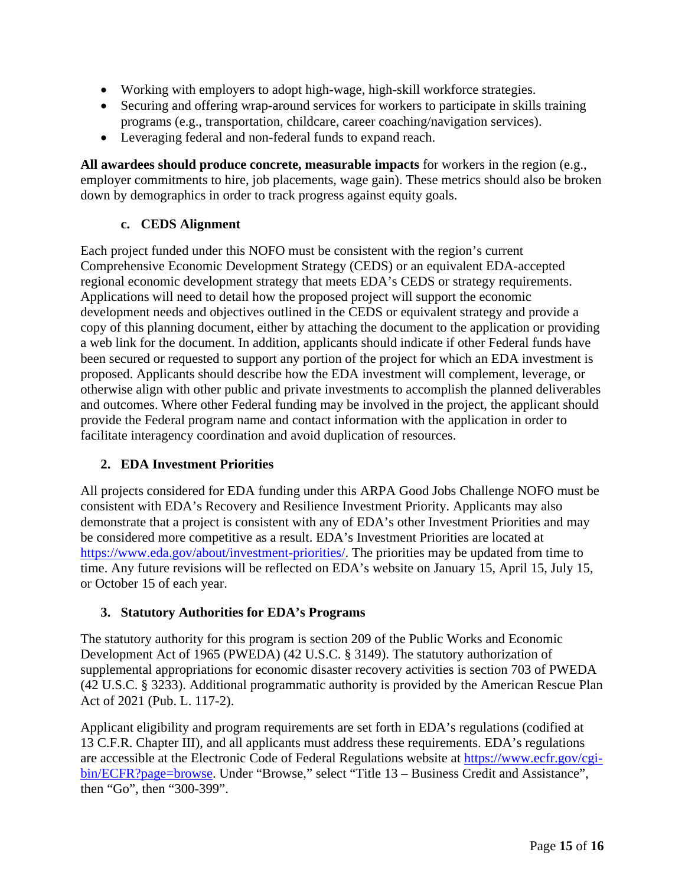- Working with employers to adopt high-wage, high-skill workforce strategies.
- Securing and offering wrap-around services for workers to participate in skills training programs (e.g., transportation, childcare, career coaching/navigation services).
- Leveraging federal and non-federal funds to expand reach.

**All awardees should produce concrete, measurable impacts** for workers in the region (e.g., employer commitments to hire, job placements, wage gain). These metrics should also be broken down by demographics in order to track progress against equity goals.

## **c. CEDS Alignment**

Each project funded under this NOFO must be consistent with the region's current Comprehensive Economic Development Strategy (CEDS) or an equivalent EDA-accepted regional economic development strategy that meets EDA's CEDS or strategy requirements. Applications will need to detail how the proposed project will support the economic development needs and objectives outlined in the CEDS or equivalent strategy and provide a copy of this planning document, either by attaching the document to the application or providing a web link for the document. In addition, applicants should indicate if other Federal funds have been secured or requested to support any portion of the project for which an EDA investment is proposed. Applicants should describe how the EDA investment will complement, leverage, or otherwise align with other public and private investments to accomplish the planned deliverables and outcomes. Where other Federal funding may be involved in the project, the applicant should provide the Federal program name and contact information with the application in order to facilitate interagency coordination and avoid duplication of resources.

# <span id="page-14-0"></span>**2. EDA Investment Priorities**

All projects considered for EDA funding under this ARPA Good Jobs Challenge NOFO must be consistent with EDA's Recovery and Resilience Investment Priority. Applicants may also demonstrate that a project is consistent with any of EDA's other Investment Priorities and may be considered more competitive as a result. EDA's Investment Priorities are located at [https://www.eda.gov/about/investment-priorities/.](https://www.eda.gov/about/investment-priorities/) The priorities may be updated from time to time. Any future revisions will be reflected on EDA's website on January 15, April 15, July 15, or October 15 of each year.

## <span id="page-14-1"></span>**3. Statutory Authorities for EDA's Programs**

The statutory authority for this program is section 209 of the Public Works and Economic Development Act of 1965 (PWEDA) (42 U.S.C. § 3149). The statutory authorization of supplemental appropriations for economic disaster recovery activities is section 703 of PWEDA (42 U.S.C. § 3233). Additional programmatic authority is provided by the American Rescue Plan Act of 2021 (Pub. L. 117-2).

Applicant eligibility and program requirements are set forth in EDA's regulations (codified at 13 C.F.R. Chapter III), and all applicants must address these requirements. EDA's regulations are accessible at the Electronic Code of Federal Regulations website at [https://www.ecfr.gov/cgi](https://www.ecfr.gov/cgi-bin/ECFR?page=browse)[bin/ECFR?page=browse.](https://www.ecfr.gov/cgi-bin/ECFR?page=browse) Under "Browse," select "Title 13 – Business Credit and Assistance", then "Go", then "300-399".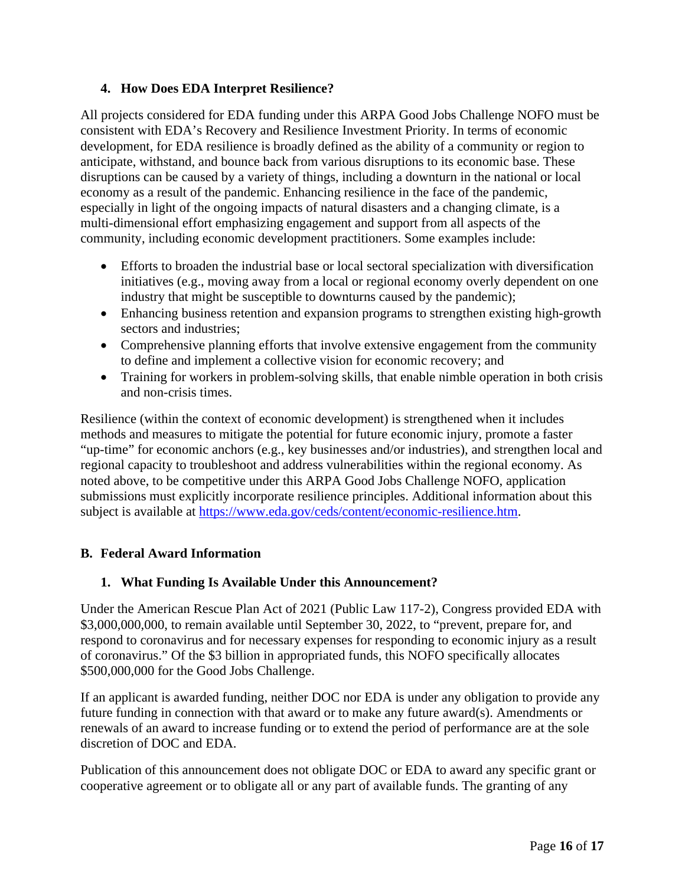### <span id="page-15-0"></span>**4. How Does EDA Interpret Resilience?**

All projects considered for EDA funding under this ARPA Good Jobs Challenge NOFO must be consistent with EDA's Recovery and Resilience Investment Priority. In terms of economic development, for EDA resilience is broadly defined as the ability of a community or region to anticipate, withstand, and bounce back from various disruptions to its economic base. These disruptions can be caused by a variety of things, including a downturn in the national or local economy as a result of the pandemic. Enhancing resilience in the face of the pandemic, especially in light of the ongoing impacts of natural disasters and a changing climate, is a multi-dimensional effort emphasizing engagement and support from all aspects of the community, including economic development practitioners. Some examples include:

- Efforts to broaden the industrial base or local sectoral specialization with diversification initiatives (e.g., moving away from a local or regional economy overly dependent on one industry that might be susceptible to downturns caused by the pandemic);
- Enhancing business retention and expansion programs to strengthen existing high-growth sectors and industries;
- Comprehensive planning efforts that involve extensive engagement from the community to define and implement a collective vision for economic recovery; and
- Training for workers in problem-solving skills, that enable nimble operation in both crisis and non-crisis times.

Resilience (within the context of economic development) is strengthened when it includes methods and measures to mitigate the potential for future economic injury, promote a faster "up-time" for economic anchors (e.g., key businesses and/or industries), and strengthen local and regional capacity to troubleshoot and address vulnerabilities within the regional economy. As noted above, to be competitive under this ARPA Good Jobs Challenge NOFO, application submissions must explicitly incorporate resilience principles. Additional information about this subject is available at [https://www.eda.gov/ceds/content/economic-resilience.htm.](https://www.eda.gov/ceds/content/economic-resilience.htm)

## <span id="page-15-1"></span>**B. Federal Award Information**

### <span id="page-15-2"></span>**1. What Funding Is Available Under this Announcement?**

Under the American Rescue Plan Act of 2021 (Public Law 117-2), Congress provided EDA with \$3,000,000,000, to remain available until September 30, 2022, to "prevent, prepare for, and respond to coronavirus and for necessary expenses for responding to economic injury as a result of coronavirus." Of the \$3 billion in appropriated funds, this NOFO specifically allocates \$500,000,000 for the Good Jobs Challenge.

If an applicant is awarded funding, neither DOC nor EDA is under any obligation to provide any future funding in connection with that award or to make any future award(s). Amendments or renewals of an award to increase funding or to extend the period of performance are at the sole discretion of DOC and EDA.

Publication of this announcement does not obligate DOC or EDA to award any specific grant or cooperative agreement or to obligate all or any part of available funds. The granting of any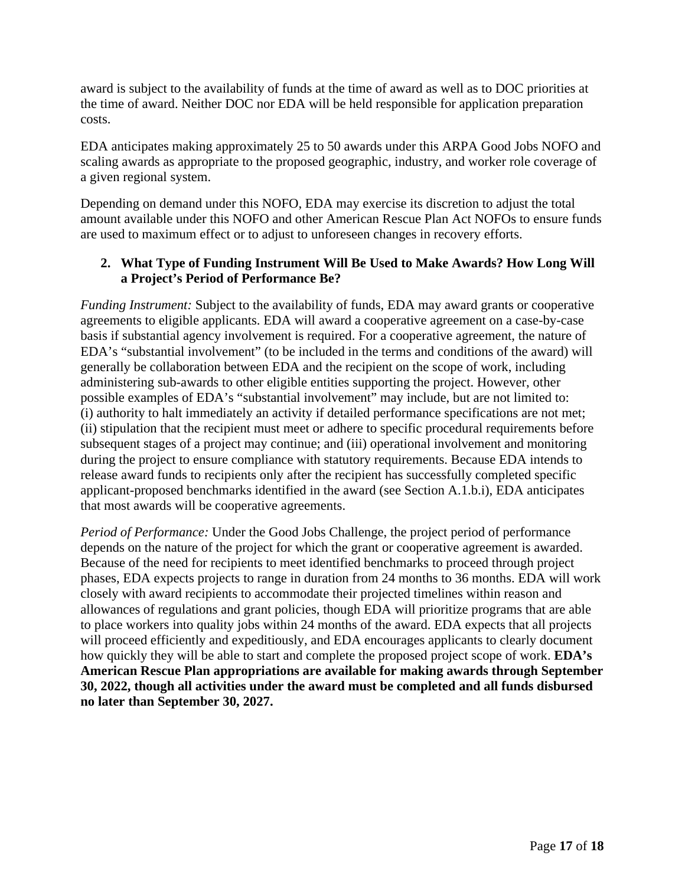award is subject to the availability of funds at the time of award as well as to DOC priorities at the time of award. Neither DOC nor EDA will be held responsible for application preparation costs.

EDA anticipates making approximately 25 to 50 awards under this ARPA Good Jobs NOFO and scaling awards as appropriate to the proposed geographic, industry, and worker role coverage of a given regional system.

Depending on demand under this NOFO, EDA may exercise its discretion to adjust the total amount available under this NOFO and other American Rescue Plan Act NOFOs to ensure funds are used to maximum effect or to adjust to unforeseen changes in recovery efforts.

## <span id="page-16-0"></span>**2. What Type of Funding Instrument Will Be Used to Make Awards? How Long Will a Project's Period of Performance Be?**

*Funding Instrument:* Subject to the availability of funds, EDA may award grants or cooperative agreements to eligible applicants. EDA will award a cooperative agreement on a case-by-case basis if substantial agency involvement is required. For a cooperative agreement, the nature of EDA's "substantial involvement" (to be included in the terms and conditions of the award) will generally be collaboration between EDA and the recipient on the scope of work, including administering sub-awards to other eligible entities supporting the project. However, other possible examples of EDA's "substantial involvement" may include, but are not limited to: (i) authority to halt immediately an activity if detailed performance specifications are not met; (ii) stipulation that the recipient must meet or adhere to specific procedural requirements before subsequent stages of a project may continue; and (iii) operational involvement and monitoring during the project to ensure compliance with statutory requirements. Because EDA intends to release award funds to recipients only after the recipient has successfully completed specific applicant-proposed benchmarks identified in the award (see Section A.1.b.i), EDA anticipates that most awards will be cooperative agreements.

*Period of Performance:* Under the Good Jobs Challenge, the project period of performance depends on the nature of the project for which the grant or cooperative agreement is awarded. Because of the need for recipients to meet identified benchmarks to proceed through project phases, EDA expects projects to range in duration from 24 months to 36 months. EDA will work closely with award recipients to accommodate their projected timelines within reason and allowances of regulations and grant policies, though EDA will prioritize programs that are able to place workers into quality jobs within 24 months of the award. EDA expects that all projects will proceed efficiently and expeditiously, and EDA encourages applicants to clearly document how quickly they will be able to start and complete the proposed project scope of work. **EDA's American Rescue Plan appropriations are available for making awards through September 30, 2022, though all activities under the award must be completed and all funds disbursed no later than September 30, 2027.**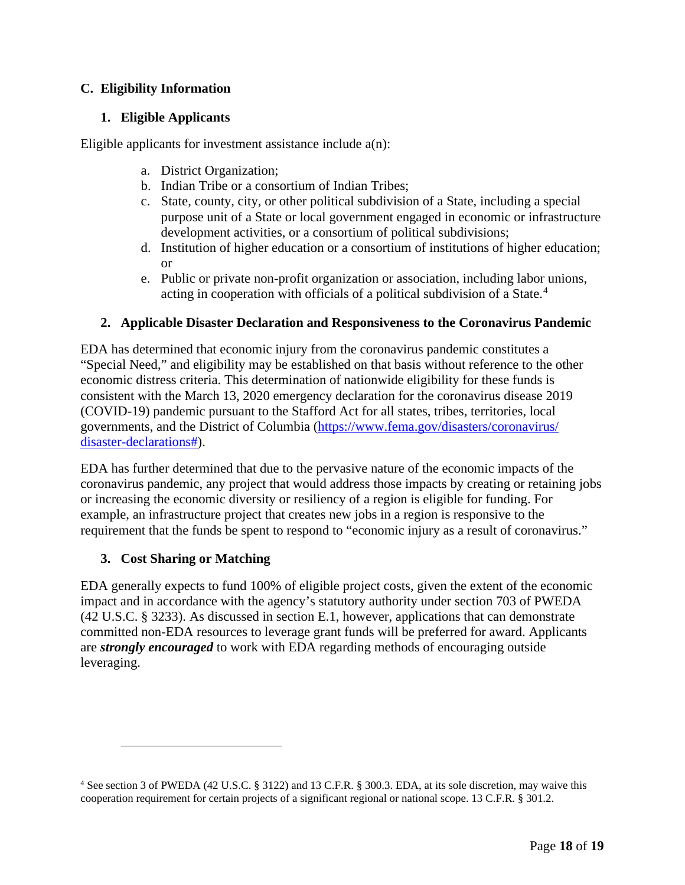## <span id="page-17-0"></span>**C. Eligibility Information**

## <span id="page-17-1"></span>**1. Eligible Applicants**

Eligible applicants for investment assistance include a(n):

- a. District Organization;
- b. Indian Tribe or a consortium of Indian Tribes;
- c. State, county, city, or other political subdivision of a State, including a special purpose unit of a State or local government engaged in economic or infrastructure development activities, or a consortium of political subdivisions;
- d. Institution of higher education or a consortium of institutions of higher education; or
- e. Public or private non-profit organization or association, including labor unions, acting in cooperation with officials of a political subdivision of a State. [4](#page-17-4)

## <span id="page-17-2"></span>**2. Applicable Disaster Declaration and Responsiveness to the Coronavirus Pandemic**

EDA has determined that economic injury from the coronavirus pandemic constitutes a "Special Need," and eligibility may be established on that basis without reference to the other economic distress criteria. This determination of nationwide eligibility for these funds is consistent with the March 13, 2020 emergency declaration for the coronavirus disease 2019 (COVID-19) pandemic pursuant to the Stafford Act for all states, tribes, territories, local governments, and the District of Columbia [\(https://www.fema.gov/disasters/coronavirus/](https://www.fema.gov/disasters/coronavirus/disaster-declarations) [disaster-declarations#\)](https://www.fema.gov/disasters/coronavirus/disaster-declarations).

EDA has further determined that due to the pervasive nature of the economic impacts of the coronavirus pandemic, any project that would address those impacts by creating or retaining jobs or increasing the economic diversity or resiliency of a region is eligible for funding. For example, an infrastructure project that creates new jobs in a region is responsive to the requirement that the funds be spent to respond to "economic injury as a result of coronavirus."

## <span id="page-17-3"></span>**3. Cost Sharing or Matching**

EDA generally expects to fund 100% of eligible project costs, given the extent of the economic impact and in accordance with the agency's statutory authority under section 703 of PWEDA (42 U.S.C. § 3233). As discussed in section [E.1,](#page-26-2) however, applications that can demonstrate committed non-EDA resources to leverage grant funds will be preferred for award. Applicants are *strongly encouraged* to work with EDA regarding methods of encouraging outside leveraging.

<span id="page-17-4"></span><sup>4</sup> See section 3 of PWEDA (42 U.S.C. § 3122) and 13 C.F.R. § 300.3. EDA, at its sole discretion, may waive this cooperation requirement for certain projects of a significant regional or national scope. 13 C.F.R. § 301.2.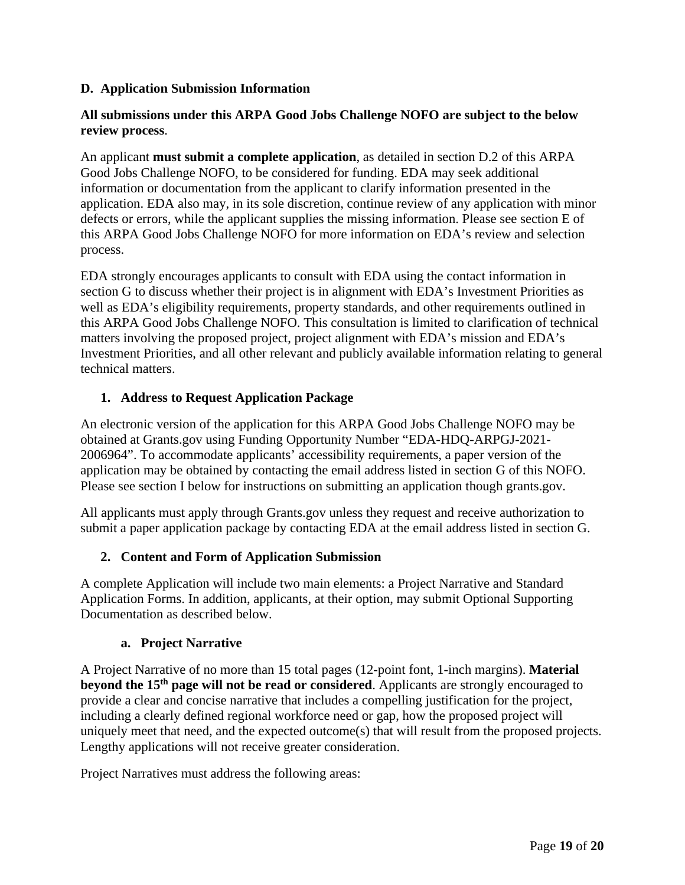### <span id="page-18-0"></span>**D. Application Submission Information**

### **All submissions under this ARPA Good Jobs Challenge NOFO are subject to the below review process**.

An applicant **must submit a complete application**, as detailed in section [D.2](#page-18-2) of this ARPA Good Jobs Challenge NOFO, to be considered for funding. EDA may seek additional information or documentation from the applicant to clarify information presented in the application. EDA also may, in its sole discretion, continue review of any application with minor defects or errors, while the applicant supplies the missing information. Please see section [E](#page-26-0) of this ARPA Good Jobs Challenge NOFO for more information on EDA's review and selection process.

EDA strongly encourages applicants to consult with EDA using the contact information in section [G](#page-32-0) to discuss whether their project is in alignment with EDA's Investment Priorities as well as EDA's eligibility requirements, property standards, and other requirements outlined in this ARPA Good Jobs Challenge NOFO. This consultation is limited to clarification of technical matters involving the proposed project, project alignment with EDA's mission and EDA's Investment Priorities, and all other relevant and publicly available information relating to general technical matters.

### <span id="page-18-1"></span>**1. Address to Request Application Package**

An electronic version of the application for this ARPA Good Jobs Challenge NOFO may be obtained at Grants.gov using Funding Opportunity Number "EDA-HDQ-ARPGJ-2021- 2006964". To accommodate applicants' accessibility requirements, a paper version of the application may be obtained by contacting the email address listed in section [G](#page-32-0) of this NOFO. Please see section I below for instructions on submitting an application though grants.gov.

All applicants must apply through Grants.gov unless they request and receive authorization to submit a paper application package by contacting EDA at the email address listed in section [G.](#page-32-0)

### <span id="page-18-2"></span>**2. Content and Form of Application Submission**

A complete Application will include two main elements: a Project Narrative and Standard Application Forms. In addition, applicants, at their option, may submit Optional Supporting Documentation as described below.

### **a. Project Narrative**

A Project Narrative of no more than 15 total pages (12-point font, 1-inch margins). **Material beyond the 15th page will not be read or considered**. Applicants are strongly encouraged to provide a clear and concise narrative that includes a compelling justification for the project, including a clearly defined regional workforce need or gap, how the proposed project will uniquely meet that need, and the expected outcome(s) that will result from the proposed projects. Lengthy applications will not receive greater consideration.

Project Narratives must address the following areas: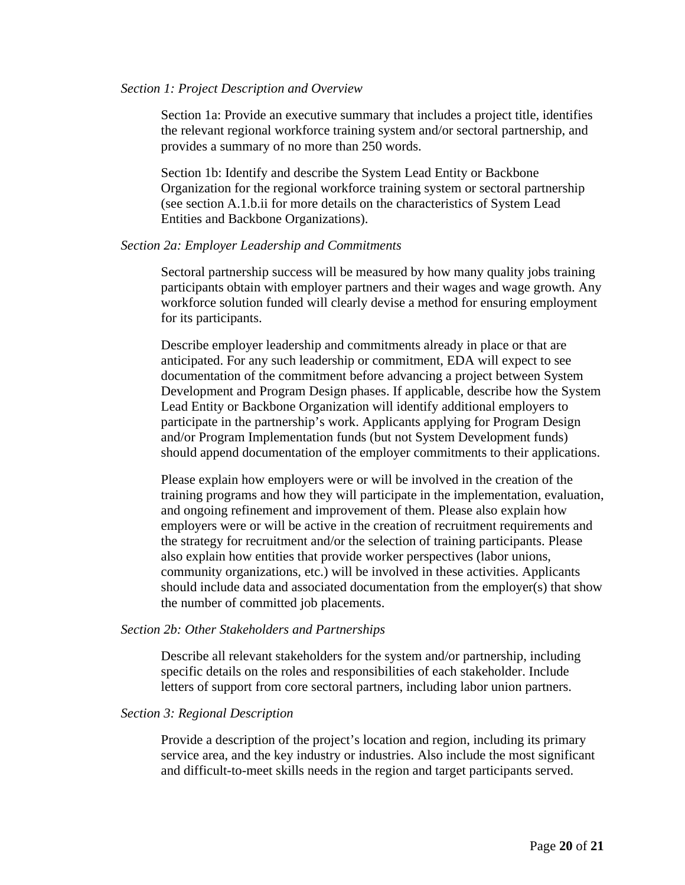#### *Section 1: Project Description and Overview*

Section 1a: Provide an executive summary that includes a project title, identifies the relevant regional workforce training system and/or sectoral partnership, and provides a summary of no more than 250 words.

Section 1b: Identify and describe the System Lead Entity or Backbone Organization for the regional workforce training system or sectoral partnership (see section [A.1.b.ii](#page-10-0) for more details on the characteristics of System Lead Entities and Backbone Organizations).

#### *Section 2a: Employer Leadership and Commitments*

Sectoral partnership success will be measured by how many quality jobs training participants obtain with employer partners and their wages and wage growth. Any workforce solution funded will clearly devise a method for ensuring employment for its participants.

Describe employer leadership and commitments already in place or that are anticipated. For any such leadership or commitment, EDA will expect to see documentation of the commitment before advancing a project between System Development and Program Design phases. If applicable, describe how the System Lead Entity or Backbone Organization will identify additional employers to participate in the partnership's work. Applicants applying for Program Design and/or Program Implementation funds (but not System Development funds) should append documentation of the employer commitments to their applications.

Please explain how employers were or will be involved in the creation of the training programs and how they will participate in the implementation, evaluation, and ongoing refinement and improvement of them. Please also explain how employers were or will be active in the creation of recruitment requirements and the strategy for recruitment and/or the selection of training participants. Please also explain how entities that provide worker perspectives (labor unions, community organizations, etc.) will be involved in these activities. Applicants should include data and associated documentation from the employer(s) that show the number of committed job placements.

#### *Section 2b: Other Stakeholders and Partnerships*

Describe all relevant stakeholders for the system and/or partnership, including specific details on the roles and responsibilities of each stakeholder. Include letters of support from core sectoral partners, including labor union partners.

#### *Section 3: Regional Description*

Provide a description of the project's location and region, including its primary service area, and the key industry or industries. Also include the most significant and difficult-to-meet skills needs in the region and target participants served.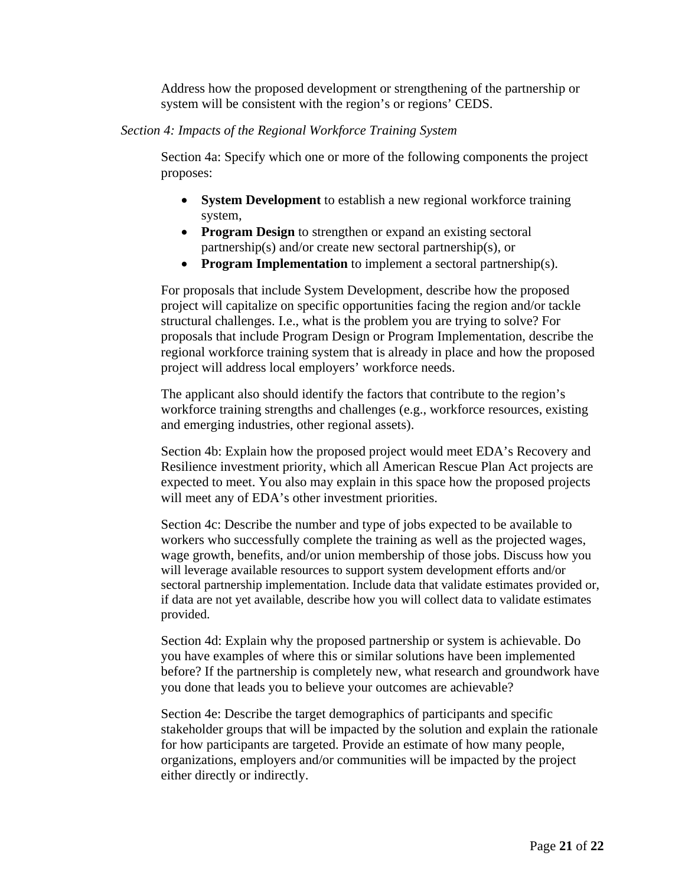Address how the proposed development or strengthening of the partnership or system will be consistent with the region's or regions' CEDS.

### *Section 4: Impacts of the Regional Workforce Training System*

Section 4a: Specify which one or more of the following components the project proposes:

- **System Development** to establish a new regional workforce training system,
- **Program Design** to strengthen or expand an existing sectoral partnership(s) and/or create new sectoral partnership(s), or
- **Program Implementation** to implement a sectoral partnership(s).

For proposals that include System Development, describe how the proposed project will capitalize on specific opportunities facing the region and/or tackle structural challenges. I.e., what is the problem you are trying to solve? For proposals that include Program Design or Program Implementation, describe the regional workforce training system that is already in place and how the proposed project will address local employers' workforce needs.

The applicant also should identify the factors that contribute to the region's workforce training strengths and challenges (e.g., workforce resources, existing and emerging industries, other regional assets).

Section 4b: Explain how the proposed project would meet EDA's Recovery and Resilience investment priority, which all American Rescue Plan Act projects are expected to meet. You also may explain in this space how the proposed projects will meet any of EDA's other investment priorities.

Section 4c: Describe the number and type of jobs expected to be available to workers who successfully complete the training as well as the projected wages, wage growth, benefits, and/or union membership of those jobs. Discuss how you will leverage available resources to support system development efforts and/or sectoral partnership implementation. Include data that validate estimates provided or, if data are not yet available, describe how you will collect data to validate estimates provided.

Section 4d: Explain why the proposed partnership or system is achievable. Do you have examples of where this or similar solutions have been implemented before? If the partnership is completely new, what research and groundwork have you done that leads you to believe your outcomes are achievable?

Section 4e: Describe the target demographics of participants and specific stakeholder groups that will be impacted by the solution and explain the rationale for how participants are targeted. Provide an estimate of how many people, organizations, employers and/or communities will be impacted by the project either directly or indirectly.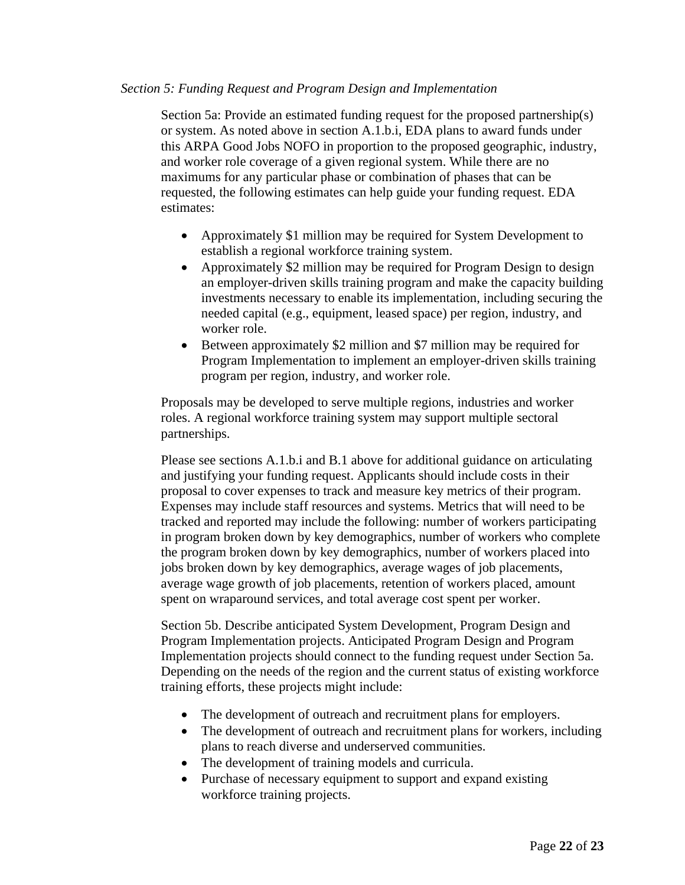#### *Section 5: Funding Request and Program Design and Implementation*

Section 5a: Provide an estimated funding request for the proposed partnership(s) or system. As noted above in section [A.1.b.i,](#page-8-0) EDA plans to award funds under this ARPA Good Jobs NOFO in proportion to the proposed geographic, industry, and worker role coverage of a given regional system. While there are no maximums for any particular phase or combination of phases that can be requested, the following estimates can help guide your funding request. EDA estimates:

- Approximately \$1 million may be required for System Development to establish a regional workforce training system.
- Approximately \$2 million may be required for Program Design to design an employer-driven skills training program and make the capacity building investments necessary to enable its implementation, including securing the needed capital (e.g., equipment, leased space) per region, industry, and worker role.
- Between approximately \$2 million and \$7 million may be required for Program Implementation to implement an employer-driven skills training program per region, industry, and worker role.

Proposals may be developed to serve multiple regions, industries and worker roles. A regional workforce training system may support multiple sectoral partnerships.

Please see sections [A.1.b.i](#page-8-0) and [B.1](#page-15-2) above for additional guidance on articulating and justifying your funding request. Applicants should include costs in their proposal to cover expenses to track and measure key metrics of their program. Expenses may include staff resources and systems. Metrics that will need to be tracked and reported may include the following: number of workers participating in program broken down by key demographics, number of workers who complete the program broken down by key demographics, number of workers placed into jobs broken down by key demographics, average wages of job placements, average wage growth of job placements, retention of workers placed, amount spent on wraparound services, and total average cost spent per worker.

Section 5b. Describe anticipated System Development, Program Design and Program Implementation projects. Anticipated Program Design and Program Implementation projects should connect to the funding request under Section 5a. Depending on the needs of the region and the current status of existing workforce training efforts, these projects might include:

- The development of outreach and recruitment plans for employers.
- The development of outreach and recruitment plans for workers, including plans to reach diverse and underserved communities.
- The development of training models and curricula.
- Purchase of necessary equipment to support and expand existing workforce training projects.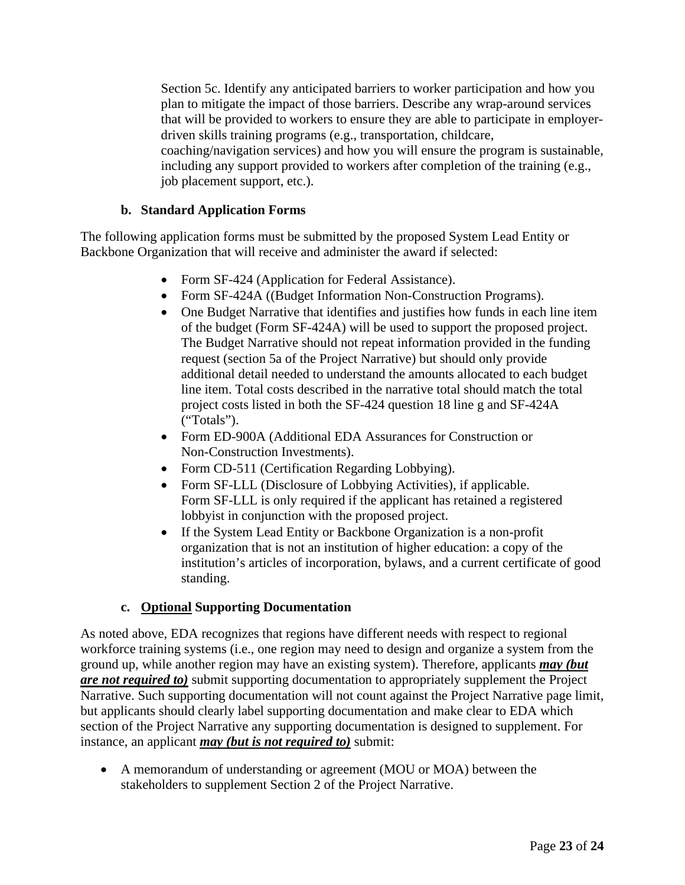Section 5c. Identify any anticipated barriers to worker participation and how you plan to mitigate the impact of those barriers. Describe any wrap-around services that will be provided to workers to ensure they are able to participate in employerdriven skills training programs (e.g., transportation, childcare, coaching/navigation services) and how you will ensure the program is sustainable, including any support provided to workers after completion of the training (e.g., job placement support, etc.).

### **b. Standard Application Forms**

The following application forms must be submitted by the proposed System Lead Entity or Backbone Organization that will receive and administer the award if selected:

- Form SF-424 (Application for Federal Assistance).
- Form SF-424A ((Budget Information Non-Construction Programs).
- One Budget Narrative that identifies and justifies how funds in each line item of the budget (Form SF-424A) will be used to support the proposed project. The Budget Narrative should not repeat information provided in the funding request (section 5a of the Project Narrative) but should only provide additional detail needed to understand the amounts allocated to each budget line item. Total costs described in the narrative total should match the total project costs listed in both the SF-424 question 18 line g and SF-424A ("Totals").
- Form ED-900A (Additional EDA Assurances for Construction or Non-Construction Investments).
- Form CD-511 (Certification Regarding Lobbying).
- Form SF-LLL (Disclosure of Lobbying Activities), if applicable. Form SF-LLL is only required if the applicant has retained a registered lobbyist in conjunction with the proposed project.
- If the System Lead Entity or Backbone Organization is a non-profit organization that is not an institution of higher education: a copy of the institution's articles of incorporation, bylaws, and a current certificate of good standing.

## **c. Optional Supporting Documentation**

As noted above, EDA recognizes that regions have different needs with respect to regional workforce training systems (i.e., one region may need to design and organize a system from the ground up, while another region may have an existing system). Therefore, applicants *may (but are not required to)* submit supporting documentation to appropriately supplement the Project Narrative. Such supporting documentation will not count against the Project Narrative page limit, but applicants should clearly label supporting documentation and make clear to EDA which section of the Project Narrative any supporting documentation is designed to supplement. For instance, an applicant *may (but is not required to)* submit:

• A memorandum of understanding or agreement (MOU or MOA) between the stakeholders to supplement Section 2 of the Project Narrative.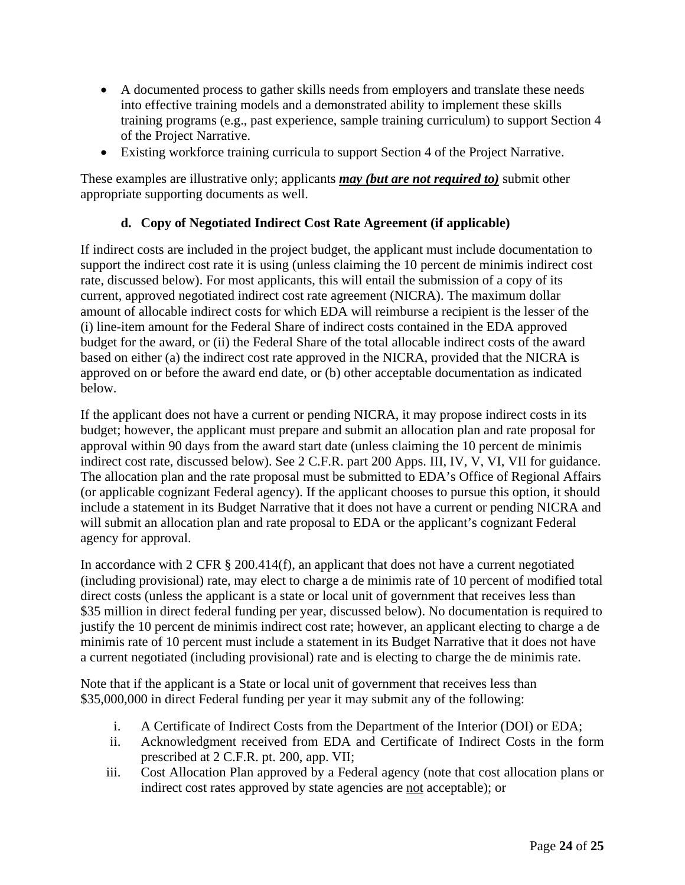- A documented process to gather skills needs from employers and translate these needs into effective training models and a demonstrated ability to implement these skills training programs (e.g., past experience, sample training curriculum) to support Section 4 of the Project Narrative.
- Existing workforce training curricula to support Section 4 of the Project Narrative.

These examples are illustrative only; applicants *may (but are not required to)* submit other appropriate supporting documents as well.

## **d. Copy of Negotiated Indirect Cost Rate Agreement (if applicable)**

If indirect costs are included in the project budget, the applicant must include documentation to support the indirect cost rate it is using (unless claiming the 10 percent de minimis indirect cost rate, discussed below). For most applicants, this will entail the submission of a copy of its current, approved negotiated indirect cost rate agreement (NICRA). The maximum dollar amount of allocable indirect costs for which EDA will reimburse a recipient is the lesser of the (i) line-item amount for the Federal Share of indirect costs contained in the EDA approved budget for the award, or (ii) the Federal Share of the total allocable indirect costs of the award based on either (a) the indirect cost rate approved in the NICRA, provided that the NICRA is approved on or before the award end date, or (b) other acceptable documentation as indicated below.

If the applicant does not have a current or pending NICRA, it may propose indirect costs in its budget; however, the applicant must prepare and submit an allocation plan and rate proposal for approval within 90 days from the award start date (unless claiming the 10 percent de minimis indirect cost rate, discussed below). See 2 C.F.R. part 200 Apps. III, IV, V, VI, VII for guidance. The allocation plan and the rate proposal must be submitted to EDA's Office of Regional Affairs (or applicable cognizant Federal agency). If the applicant chooses to pursue this option, it should include a statement in its Budget Narrative that it does not have a current or pending NICRA and will submit an allocation plan and rate proposal to EDA or the applicant's cognizant Federal agency for approval.

In accordance with 2 CFR § 200.414(f), an applicant that does not have a current negotiated (including provisional) rate, may elect to charge a de minimis rate of 10 percent of modified total direct costs (unless the applicant is a state or local unit of government that receives less than \$35 million in direct federal funding per year, discussed below). No documentation is required to justify the 10 percent de minimis indirect cost rate; however, an applicant electing to charge a de minimis rate of 10 percent must include a statement in its Budget Narrative that it does not have a current negotiated (including provisional) rate and is electing to charge the de minimis rate.

Note that if the applicant is a State or local unit of government that receives less than \$35,000,000 in direct Federal funding per year it may submit any of the following:

- i. A Certificate of Indirect Costs from the Department of the Interior (DOI) or EDA;
- ii. Acknowledgment received from EDA and Certificate of Indirect Costs in the form prescribed at 2 C.F.R. pt. 200, app. VII;
- iii. Cost Allocation Plan approved by a Federal agency (note that cost allocation plans or indirect cost rates approved by state agencies are not acceptable); or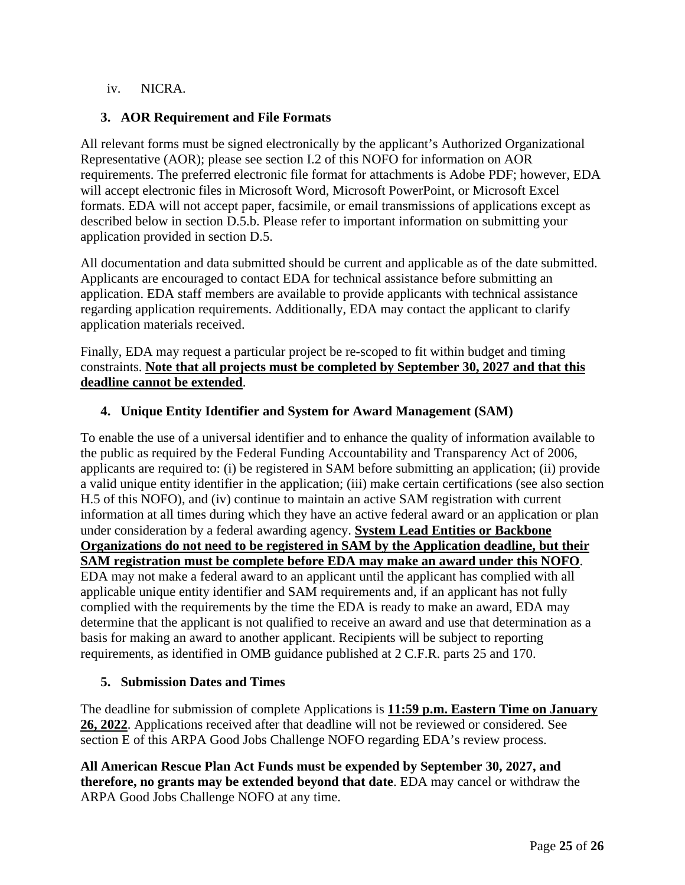### iv. NICRA.

### <span id="page-24-0"></span>**3. AOR Requirement and File Formats**

All relevant forms must be signed electronically by the applicant's Authorized Organizational Representative (AOR); please see section [I.2](#page-37-0) of this NOFO for information on AOR requirements. The preferred electronic file format for attachments is Adobe PDF; however, EDA will accept electronic files in Microsoft Word, Microsoft PowerPoint, or Microsoft Excel formats. EDA will not accept paper, facsimile, or email transmissions of applications except as described below in section [D.5.b.](#page-25-2) Please refer to important information on submitting your application provided in section [D.5.](#page-24-2)

All documentation and data submitted should be current and applicable as of the date submitted. Applicants are encouraged to contact EDA for technical assistance before submitting an application. EDA staff members are available to provide applicants with technical assistance regarding application requirements. Additionally, EDA may contact the applicant to clarify application materials received.

Finally, EDA may request a particular project be re-scoped to fit within budget and timing constraints. **Note that all projects must be completed by September 30, 2027 and that this deadline cannot be extended**.

### <span id="page-24-1"></span>**4. Unique Entity Identifier and System for Award Management (SAM)**

To enable the use of a universal identifier and to enhance the quality of information available to the public as required by the Federal Funding Accountability and Transparency Act of 2006, applicants are required to: (i) be registered in SAM before submitting an application; (ii) provide a valid unique entity identifier in the application; (iii) make certain certifications (see also section H.5 of this NOFO), and (iv) continue to maintain an active SAM registration with current information at all times during which they have an active federal award or an application or plan under consideration by a federal awarding agency. **System Lead Entities or Backbone Organizations do not need to be registered in SAM by the Application deadline, but their SAM registration must be complete before EDA may make an award under this NOFO**. EDA may not make a federal award to an applicant until the applicant has complied with all applicable unique entity identifier and SAM requirements and, if an applicant has not fully complied with the requirements by the time the EDA is ready to make an award, EDA may determine that the applicant is not qualified to receive an award and use that determination as a basis for making an award to another applicant. Recipients will be subject to reporting requirements, as identified in OMB guidance published at 2 C.F.R. parts 25 and 170.

### <span id="page-24-2"></span>**5. Submission Dates and Times**

The deadline for submission of complete Applications is **11:59 p.m. Eastern Time on January 26, 2022**. Applications received after that deadline will not be reviewed or considered. See section [E](#page-26-0) of this ARPA Good Jobs Challenge NOFO regarding EDA's review process.

**All American Rescue Plan Act Funds must be expended by September 30, 2027, and therefore, no grants may be extended beyond that date**. EDA may cancel or withdraw the ARPA Good Jobs Challenge NOFO at any time.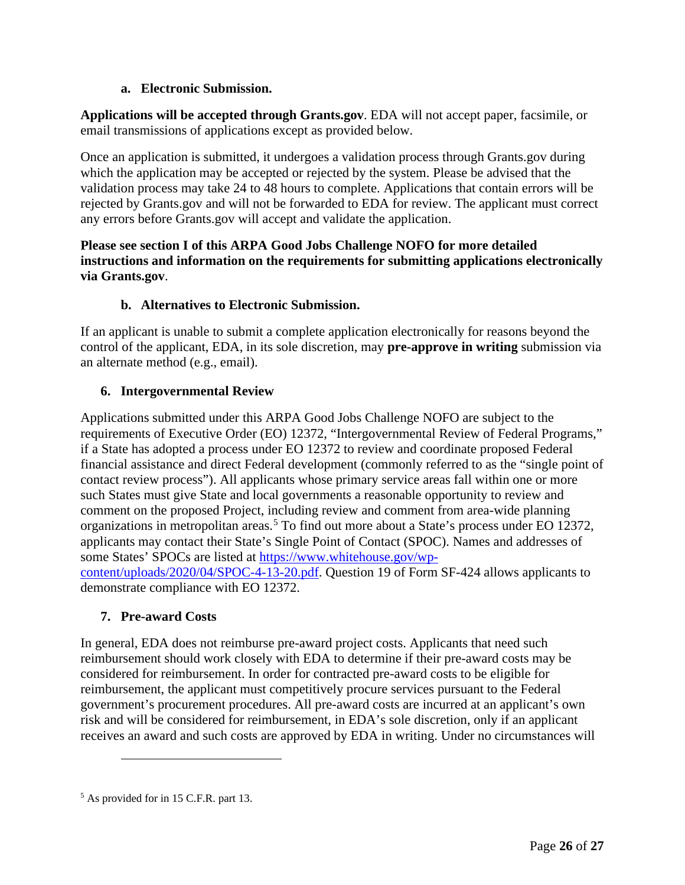## **a. Electronic Submission.**

**Applications will be accepted through Grants.gov**. EDA will not accept paper, facsimile, or email transmissions of applications except as provided below.

Once an application is submitted, it undergoes a validation process through Grants.gov during which the application may be accepted or rejected by the system. Please be advised that the validation process may take 24 to 48 hours to complete. Applications that contain errors will be rejected by Grants.gov and will not be forwarded to EDA for review. The applicant must correct any errors before Grants.gov will accept and validate the application.

## **Please see section [I](#page-35-3) of this ARPA Good Jobs Challenge NOFO for more detailed instructions and information on the requirements for submitting applications electronically via Grants.gov**.

# **b. Alternatives to Electronic Submission.**

<span id="page-25-2"></span>If an applicant is unable to submit a complete application electronically for reasons beyond the control of the applicant, EDA, in its sole discretion, may **pre-approve in writing** submission via an alternate method (e.g., email).

# <span id="page-25-0"></span>**6. Intergovernmental Review**

Applications submitted under this ARPA Good Jobs Challenge NOFO are subject to the requirements of Executive Order (EO) 12372, "Intergovernmental Review of Federal Programs," if a State has adopted a process under EO 12372 to review and coordinate proposed Federal financial assistance and direct Federal development (commonly referred to as the "single point of contact review process"). All applicants whose primary service areas fall within one or more such States must give State and local governments a reasonable opportunity to review and comment on the proposed Project, including review and comment from area-wide planning organizations in metropolitan areas. [5](#page-25-3) To find out more about a State's process under EO 12372, applicants may contact their State's Single Point of Contact (SPOC). Names and addresses of some States' SPOCs are listed at [https://www.whitehouse.gov/wp](https://www.whitehouse.gov/wp-content/uploads/2020/04/SPOC-4-13-20.pdf)[content/uploads/2020/04/SPOC-4-13-20.pdf.](https://www.whitehouse.gov/wp-content/uploads/2020/04/SPOC-4-13-20.pdf) Question 19 of Form SF-424 allows applicants to demonstrate compliance with EO 12372.

# <span id="page-25-1"></span>**7. Pre-award Costs**

In general, EDA does not reimburse pre-award project costs. Applicants that need such reimbursement should work closely with EDA to determine if their pre-award costs may be considered for reimbursement. In order for contracted pre-award costs to be eligible for reimbursement, the applicant must competitively procure services pursuant to the Federal government's procurement procedures. All pre-award costs are incurred at an applicant's own risk and will be considered for reimbursement, in EDA's sole discretion, only if an applicant receives an award and such costs are approved by EDA in writing. Under no circumstances will

<span id="page-25-3"></span><sup>5</sup> As provided for in 15 C.F.R. part 13.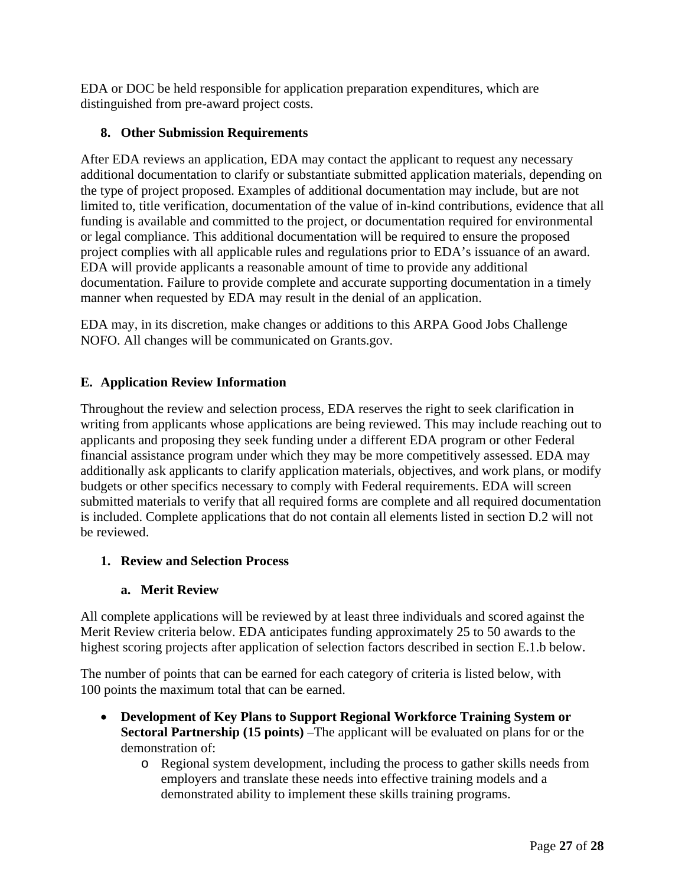EDA or DOC be held responsible for application preparation expenditures, which are distinguished from pre-award project costs.

## <span id="page-26-1"></span>**8. Other Submission Requirements**

After EDA reviews an application, EDA may contact the applicant to request any necessary additional documentation to clarify or substantiate submitted application materials, depending on the type of project proposed. Examples of additional documentation may include, but are not limited to, title verification, documentation of the value of in-kind contributions, evidence that all funding is available and committed to the project, or documentation required for environmental or legal compliance. This additional documentation will be required to ensure the proposed project complies with all applicable rules and regulations prior to EDA's issuance of an award. EDA will provide applicants a reasonable amount of time to provide any additional documentation. Failure to provide complete and accurate supporting documentation in a timely manner when requested by EDA may result in the denial of an application.

EDA may, in its discretion, make changes or additions to this ARPA Good Jobs Challenge NOFO. All changes will be communicated on Grants.gov.

## <span id="page-26-0"></span>**E. Application Review Information**

Throughout the review and selection process, EDA reserves the right to seek clarification in writing from applicants whose applications are being reviewed. This may include reaching out to applicants and proposing they seek funding under a different EDA program or other Federal financial assistance program under which they may be more competitively assessed. EDA may additionally ask applicants to clarify application materials, objectives, and work plans, or modify budgets or other specifics necessary to comply with Federal requirements. EDA will screen submitted materials to verify that all required forms are complete and all required documentation is included. Complete applications that do not contain all elements listed in section [D.2](#page-18-2) will not be reviewed.

## <span id="page-26-2"></span>**1. Review and Selection Process**

## **a. Merit Review**

All complete applications will be reviewed by at least three individuals and scored against the Merit Review criteria below. EDA anticipates funding approximately 25 to 50 awards to the highest scoring projects after application of selection factors described in section [E.1.b](#page-29-1) below.

The number of points that can be earned for each category of criteria is listed below, with 100 points the maximum total that can be earned.

- **Development of Key Plans to Support Regional Workforce Training System or Sectoral Partnership (15 points)** –The applicant will be evaluated on plans for or the demonstration of:
	- o Regional system development, including the process to gather skills needs from employers and translate these needs into effective training models and a demonstrated ability to implement these skills training programs.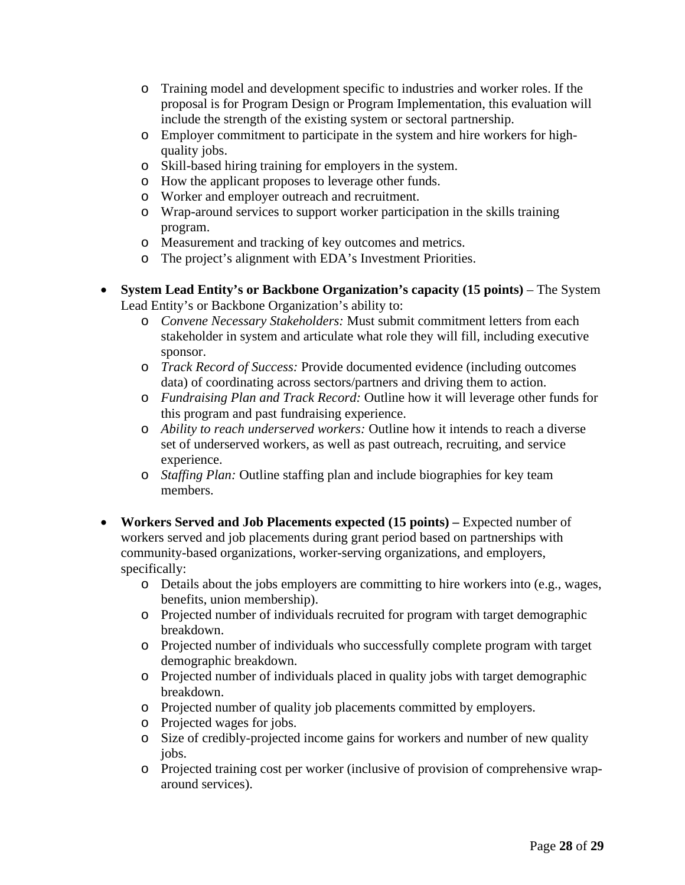- o Training model and development specific to industries and worker roles. If the proposal is for Program Design or Program Implementation, this evaluation will include the strength of the existing system or sectoral partnership.
- o Employer commitment to participate in the system and hire workers for highquality jobs.
- o Skill-based hiring training for employers in the system.
- o How the applicant proposes to leverage other funds.
- o Worker and employer outreach and recruitment.
- o Wrap-around services to support worker participation in the skills training program.
- o Measurement and tracking of key outcomes and metrics.
- o The project's alignment with EDA's Investment Priorities.
- **System Lead Entity's or Backbone Organization's capacity (15 points)**  The System Lead Entity's or Backbone Organization's ability to:
	- o *Convene Necessary Stakeholders:* Must submit commitment letters from each stakeholder in system and articulate what role they will fill, including executive sponsor.
	- o *Track Record of Success:* Provide documented evidence (including outcomes data) of coordinating across sectors/partners and driving them to action.
	- o *Fundraising Plan and Track Record:* Outline how it will leverage other funds for this program and past fundraising experience.
	- o *Ability to reach underserved workers:* Outline how it intends to reach a diverse set of underserved workers, as well as past outreach, recruiting, and service experience.
	- o *Staffing Plan:* Outline staffing plan and include biographies for key team members.
- **Workers Served and Job Placements expected (15 points) –** Expected number of workers served and job placements during grant period based on partnerships with community-based organizations, worker-serving organizations, and employers, specifically:
	- o Details about the jobs employers are committing to hire workers into (e.g., wages, benefits, union membership).
	- o Projected number of individuals recruited for program with target demographic breakdown.
	- o Projected number of individuals who successfully complete program with target demographic breakdown.
	- o Projected number of individuals placed in quality jobs with target demographic breakdown.
	- o Projected number of quality job placements committed by employers.
	- o Projected wages for jobs.
	- o Size of credibly-projected income gains for workers and number of new quality jobs.
	- o Projected training cost per worker (inclusive of provision of comprehensive wraparound services).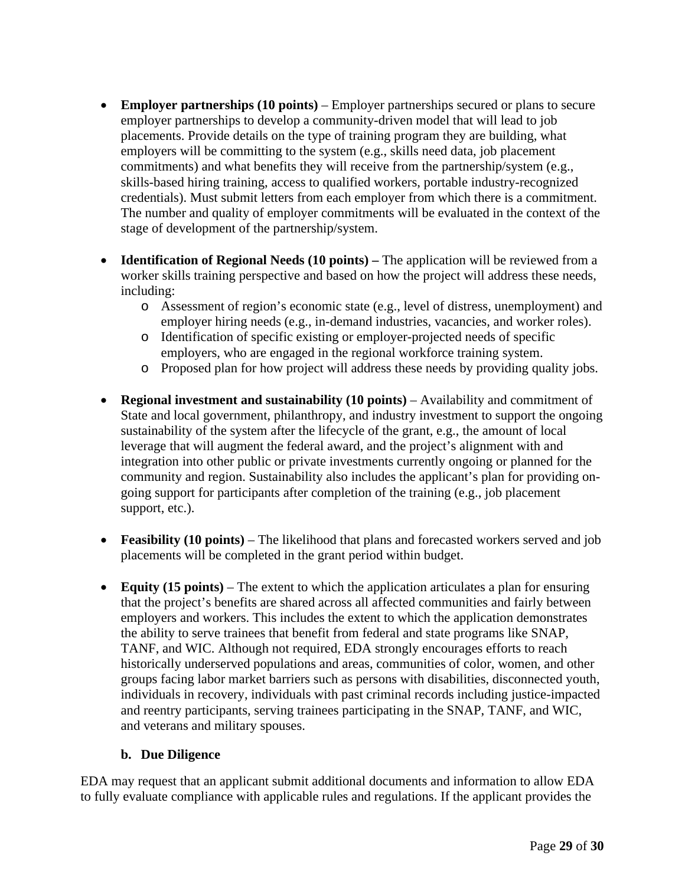- **Employer partnerships (10 points)** Employer partnerships secured or plans to secure employer partnerships to develop a community-driven model that will lead to job placements. Provide details on the type of training program they are building, what employers will be committing to the system (e.g., skills need data, job placement commitments) and what benefits they will receive from the partnership/system (e.g., skills-based hiring training, access to qualified workers, portable industry-recognized credentials). Must submit letters from each employer from which there is a commitment. The number and quality of employer commitments will be evaluated in the context of the stage of development of the partnership/system.
- **Identification of Regional Needs (10 points)** The application will be reviewed from a worker skills training perspective and based on how the project will address these needs, including:
	- o Assessment of region's economic state (e.g., level of distress, unemployment) and employer hiring needs (e.g., in-demand industries, vacancies, and worker roles).
	- o Identification of specific existing or employer-projected needs of specific employers, who are engaged in the regional workforce training system.
	- o Proposed plan for how project will address these needs by providing quality jobs.
- **Regional investment and sustainability (10 points)**  Availability and commitment of State and local government, philanthropy, and industry investment to support the ongoing sustainability of the system after the lifecycle of the grant, e.g., the amount of local leverage that will augment the federal award, and the project's alignment with and integration into other public or private investments currently ongoing or planned for the community and region. Sustainability also includes the applicant's plan for providing ongoing support for participants after completion of the training (e.g., job placement support, etc.).
- **Feasibility (10 points)** The likelihood that plans and forecasted workers served and job placements will be completed in the grant period within budget.
- **Equity (15 points)** The extent to which the application articulates a plan for ensuring that the project's benefits are shared across all affected communities and fairly between employers and workers. This includes the extent to which the application demonstrates the ability to serve trainees that benefit from federal and state programs like SNAP, TANF, and WIC. Although not required, EDA strongly encourages efforts to reach historically underserved populations and areas, communities of color, women, and other groups facing labor market barriers such as persons with disabilities, disconnected youth, individuals in recovery, individuals with past criminal records including justice-impacted and reentry participants, serving trainees participating in the SNAP, TANF, and WIC, and veterans and military spouses.

### **b. Due Diligence**

EDA may request that an applicant submit additional documents and information to allow EDA to fully evaluate compliance with applicable rules and regulations. If the applicant provides the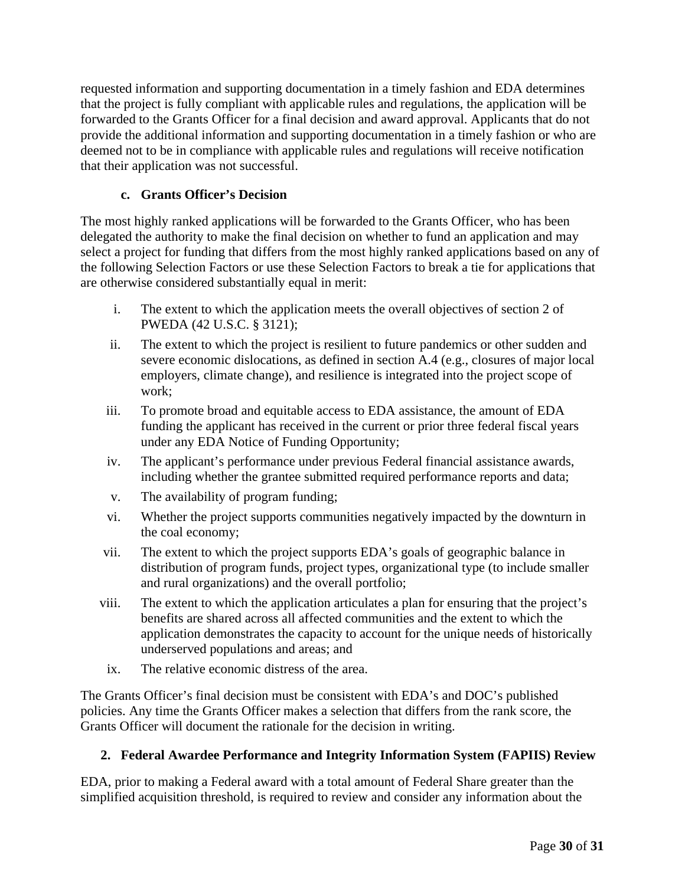requested information and supporting documentation in a timely fashion and EDA determines that the project is fully compliant with applicable rules and regulations, the application will be forwarded to the Grants Officer for a final decision and award approval. Applicants that do not provide the additional information and supporting documentation in a timely fashion or who are deemed not to be in compliance with applicable rules and regulations will receive notification that their application was not successful.

## **c. Grants Officer's Decision**

<span id="page-29-1"></span>The most highly ranked applications will be forwarded to the Grants Officer, who has been delegated the authority to make the final decision on whether to fund an application and may select a project for funding that differs from the most highly ranked applications based on any of the following Selection Factors or use these Selection Factors to break a tie for applications that are otherwise considered substantially equal in merit:

- i. The extent to which the application meets the overall objectives of section 2 of PWEDA (42 U.S.C. § 3121);
- ii. The extent to which the project is resilient to future pandemics or other sudden and severe economic dislocations, as defined in section A.4 (e.g., closures of major local employers, climate change), and resilience is integrated into the project scope of work;
- iii. To promote broad and equitable access to EDA assistance, the amount of EDA funding the applicant has received in the current or prior three federal fiscal years under any EDA Notice of Funding Opportunity;
- iv. The applicant's performance under previous Federal financial assistance awards, including whether the grantee submitted required performance reports and data;
- v. The availability of program funding;
- vi. Whether the project supports communities negatively impacted by the downturn in the coal economy;
- vii. The extent to which the project supports EDA's goals of geographic balance in distribution of program funds, project types, organizational type (to include smaller and rural organizations) and the overall portfolio;
- viii. The extent to which the application articulates a plan for ensuring that the project's benefits are shared across all affected communities and the extent to which the application demonstrates the capacity to account for the unique needs of historically underserved populations and areas; and
- ix. The relative economic distress of the area.

The Grants Officer's final decision must be consistent with EDA's and DOC's published policies. Any time the Grants Officer makes a selection that differs from the rank score, the Grants Officer will document the rationale for the decision in writing.

## <span id="page-29-0"></span>**2. Federal Awardee Performance and Integrity Information System (FAPIIS) Review**

EDA, prior to making a Federal award with a total amount of Federal Share greater than the simplified acquisition threshold, is required to review and consider any information about the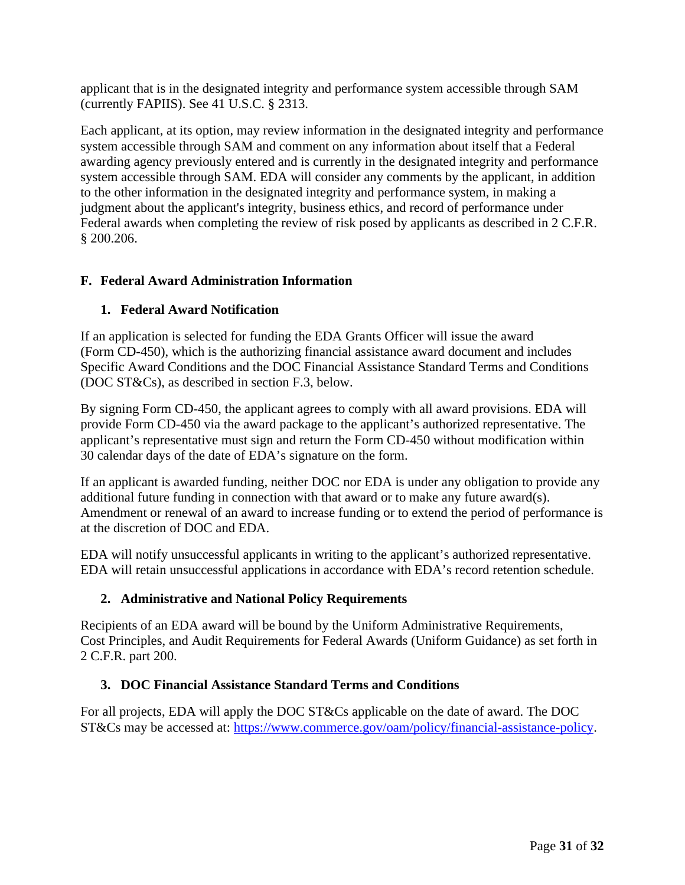applicant that is in the designated integrity and performance system accessible through SAM (currently FAPIIS). See 41 U.S.C. § 2313.

Each applicant, at its option, may review information in the designated integrity and performance system accessible through SAM and comment on any information about itself that a Federal awarding agency previously entered and is currently in the designated integrity and performance system accessible through SAM. EDA will consider any comments by the applicant, in addition to the other information in the designated integrity and performance system, in making a judgment about the applicant's integrity, business ethics, and record of performance under Federal awards when completing the review of risk posed by applicants as described in 2 C.F.R. § 200.206.

## <span id="page-30-0"></span>**F. Federal Award Administration Information**

## <span id="page-30-1"></span>**1. Federal Award Notification**

If an application is selected for funding the EDA Grants Officer will issue the award (Form CD-450), which is the authorizing financial assistance award document and includes Specific Award Conditions and the DOC Financial Assistance Standard Terms and Conditions (DOC ST&Cs), as described in section [F.3,](#page-30-3) below.

By signing Form CD-450, the applicant agrees to comply with all award provisions. EDA will provide Form CD-450 via the award package to the applicant's authorized representative. The applicant's representative must sign and return the Form CD-450 without modification within 30 calendar days of the date of EDA's signature on the form.

If an applicant is awarded funding, neither DOC nor EDA is under any obligation to provide any additional future funding in connection with that award or to make any future award(s). Amendment or renewal of an award to increase funding or to extend the period of performance is at the discretion of DOC and EDA.

EDA will notify unsuccessful applicants in writing to the applicant's authorized representative. EDA will retain unsuccessful applications in accordance with EDA's record retention schedule.

## <span id="page-30-2"></span>**2. Administrative and National Policy Requirements**

Recipients of an EDA award will be bound by the Uniform Administrative Requirements, Cost Principles, and Audit Requirements for Federal Awards (Uniform Guidance) as set forth in 2 C.F.R. part 200.

## <span id="page-30-3"></span>**3. DOC Financial Assistance Standard Terms and Conditions**

For all projects, EDA will apply the DOC ST&Cs applicable on the date of award. The DOC ST&Cs may be accessed at: https://www.commerce.gov/oam/policy/financial-assistance-policy.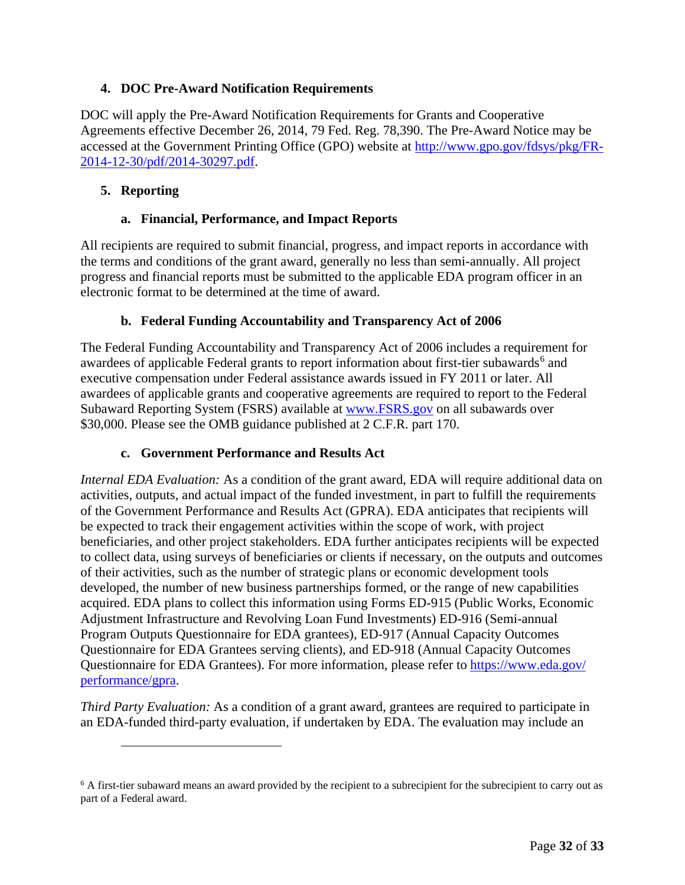## <span id="page-31-0"></span>**4. DOC Pre-Award Notification Requirements**

DOC will apply the Pre-Award Notification Requirements for Grants and Cooperative Agreements effective December 26, 2014, 79 Fed. Reg. 78,390. The Pre-Award Notice may be accessed at the Government Printing Office (GPO) website at [http://www.gpo.gov/fdsys/pkg/FR-](http://www.gpo.gov/fdsys/pkg/FR-2014-12-30/pdf/2014-30297.pdf)[2014-12-30/pdf/2014-30297.pdf.](http://www.gpo.gov/fdsys/pkg/FR-2014-12-30/pdf/2014-30297.pdf)

## <span id="page-31-1"></span>**5. Reporting**

### **a. Financial, Performance, and Impact Reports**

All recipients are required to submit financial, progress, and impact reports in accordance with the terms and conditions of the grant award, generally no less than semi-annually. All project progress and financial reports must be submitted to the applicable EDA program officer in an electronic format to be determined at the time of award.

## **b. Federal Funding Accountability and Transparency Act of 2006**

The Federal Funding Accountability and Transparency Act of 2006 includes a requirement for awardees of applicable Federal grants to report information about first-tier subawards<sup>[6](#page-31-2)</sup> and executive compensation under Federal assistance awards issued in FY 2011 or later. All awardees of applicable grants and cooperative agreements are required to report to the Federal Subaward Reporting System (FSRS) available at [www.FSRS.gov](http://www.fsrs.gov/) on all subawards over \$30,000. Please see the OMB guidance published at 2 C.F.R. part 170.

### **c. Government Performance and Results Act**

*Internal EDA Evaluation:* As a condition of the grant award, EDA will require additional data on activities, outputs, and actual impact of the funded investment, in part to fulfill the requirements of the Government Performance and Results Act (GPRA). EDA anticipates that recipients will be expected to track their engagement activities within the scope of work, with project beneficiaries, and other project stakeholders. EDA further anticipates recipients will be expected to collect data, using surveys of beneficiaries or clients if necessary, on the outputs and outcomes of their activities, such as the number of strategic plans or economic development tools developed, the number of new business partnerships formed, or the range of new capabilities acquired. EDA plans to collect this information using Forms ED-915 (Public Works, Economic Adjustment Infrastructure and Revolving Loan Fund Investments) ED-916 (Semi-annual Program Outputs Questionnaire for EDA grantees), ED-917 (Annual Capacity Outcomes Questionnaire for EDA Grantees serving clients), and ED-918 (Annual Capacity Outcomes Questionnaire for EDA Grantees). For more information, please refer to [https://www.eda.gov/](https://www.eda.gov/performance/gpra) [performance/gpra.](https://www.eda.gov/performance/gpra)

*Third Party Evaluation:* As a condition of a grant award, grantees are required to participate in an EDA-funded third-party evaluation, if undertaken by EDA. The evaluation may include an

<span id="page-31-2"></span><sup>&</sup>lt;sup>6</sup> A first-tier subaward means an award provided by the recipient to a subrecipient for the subrecipient to carry out as part of a Federal award.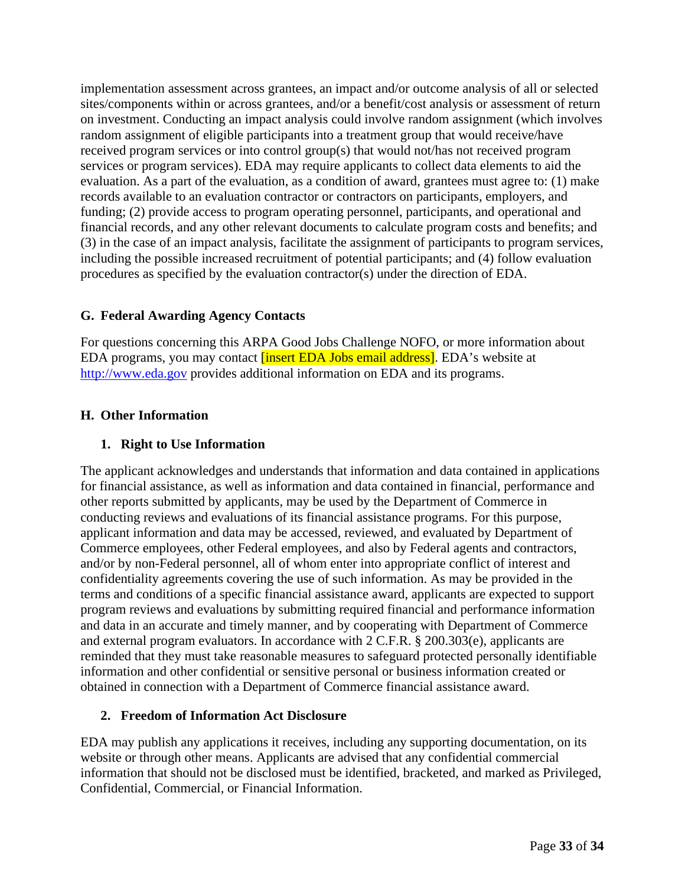implementation assessment across grantees, an impact and/or outcome analysis of all or selected sites/components within or across grantees, and/or a benefit/cost analysis or assessment of return on investment. Conducting an impact analysis could involve random assignment (which involves random assignment of eligible participants into a treatment group that would receive/have received program services or into control group(s) that would not/has not received program services or program services). EDA may require applicants to collect data elements to aid the evaluation. As a part of the evaluation, as a condition of award, grantees must agree to: (1) make records available to an evaluation contractor or contractors on participants, employers, and funding; (2) provide access to program operating personnel, participants, and operational and financial records, and any other relevant documents to calculate program costs and benefits; and (3) in the case of an impact analysis, facilitate the assignment of participants to program services, including the possible increased recruitment of potential participants; and (4) follow evaluation procedures as specified by the evaluation contractor(s) under the direction of EDA.

## <span id="page-32-0"></span>**G. Federal Awarding Agency Contacts**

For questions concerning this ARPA Good Jobs Challenge NOFO, or more information about EDA programs, you may contact [insert EDA Jobs email address]. EDA's website at [http://www.eda.gov](http://www.eda.gov/) provides additional information on EDA and its programs.

## <span id="page-32-1"></span>**H. Other Information**

## <span id="page-32-2"></span>**1. Right to Use Information**

The applicant acknowledges and understands that information and data contained in applications for financial assistance, as well as information and data contained in financial, performance and other reports submitted by applicants, may be used by the Department of Commerce in conducting reviews and evaluations of its financial assistance programs. For this purpose, applicant information and data may be accessed, reviewed, and evaluated by Department of Commerce employees, other Federal employees, and also by Federal agents and contractors, and/or by non-Federal personnel, all of whom enter into appropriate conflict of interest and confidentiality agreements covering the use of such information. As may be provided in the terms and conditions of a specific financial assistance award, applicants are expected to support program reviews and evaluations by submitting required financial and performance information and data in an accurate and timely manner, and by cooperating with Department of Commerce and external program evaluators. In accordance with 2 C.F.R. § 200.303(e), applicants are reminded that they must take reasonable measures to safeguard protected personally identifiable information and other confidential or sensitive personal or business information created or obtained in connection with a Department of Commerce financial assistance award.

## <span id="page-32-3"></span>**2. Freedom of Information Act Disclosure**

EDA may publish any applications it receives, including any supporting documentation, on its website or through other means. Applicants are advised that any confidential commercial information that should not be disclosed must be identified, bracketed, and marked as Privileged, Confidential, Commercial, or Financial Information.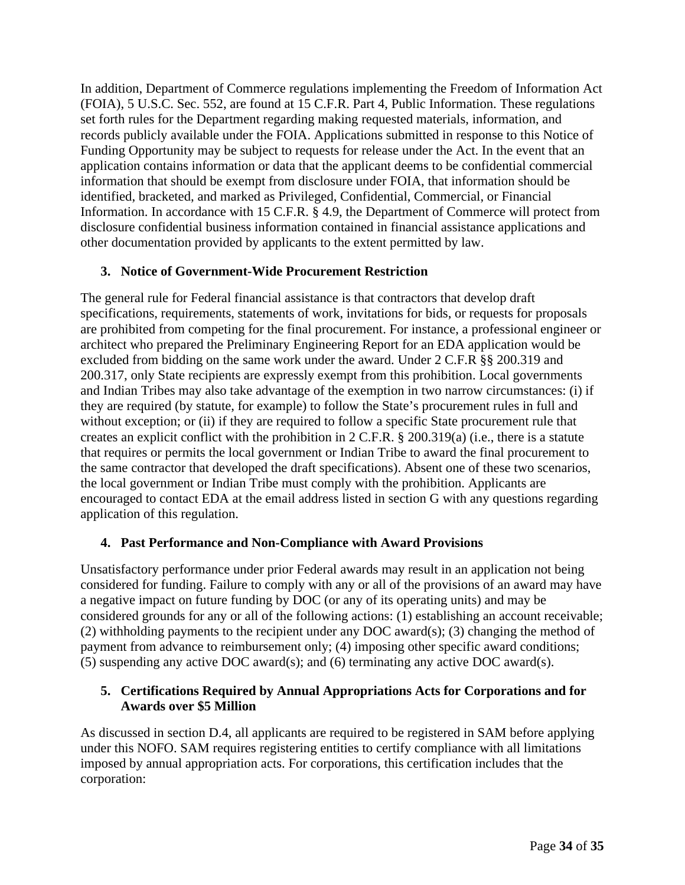In addition, Department of Commerce regulations implementing the Freedom of Information Act (FOIA), 5 U.S.C. Sec. 552, are found at 15 C.F.R. Part 4, Public Information. These regulations set forth rules for the Department regarding making requested materials, information, and records publicly available under the FOIA. Applications submitted in response to this Notice of Funding Opportunity may be subject to requests for release under the Act. In the event that an application contains information or data that the applicant deems to be confidential commercial information that should be exempt from disclosure under FOIA, that information should be identified, bracketed, and marked as Privileged, Confidential, Commercial, or Financial Information. In accordance with 15 C.F.R. § 4.9, the Department of Commerce will protect from disclosure confidential business information contained in financial assistance applications and other documentation provided by applicants to the extent permitted by law.

## <span id="page-33-0"></span>**3. Notice of Government-Wide Procurement Restriction**

The general rule for Federal financial assistance is that contractors that develop draft specifications, requirements, statements of work, invitations for bids, or requests for proposals are prohibited from competing for the final procurement. For instance, a professional engineer or architect who prepared the Preliminary Engineering Report for an EDA application would be excluded from bidding on the same work under the award. Under 2 C.F.R §§ 200.319 and 200.317, only State recipients are expressly exempt from this prohibition. Local governments and Indian Tribes may also take advantage of the exemption in two narrow circumstances: (i) if they are required (by statute, for example) to follow the State's procurement rules in full and without exception; or (ii) if they are required to follow a specific State procurement rule that creates an explicit conflict with the prohibition in 2 C.F.R. § 200.319(a) (i.e., there is a statute that requires or permits the local government or Indian Tribe to award the final procurement to the same contractor that developed the draft specifications). Absent one of these two scenarios, the local government or Indian Tribe must comply with the prohibition. Applicants are encouraged to contact EDA at the email address listed in section [G](#page-32-0) with any questions regarding application of this regulation.

## <span id="page-33-1"></span>**4. Past Performance and Non-Compliance with Award Provisions**

Unsatisfactory performance under prior Federal awards may result in an application not being considered for funding. Failure to comply with any or all of the provisions of an award may have a negative impact on future funding by DOC (or any of its operating units) and may be considered grounds for any or all of the following actions: (1) establishing an account receivable; (2) withholding payments to the recipient under any DOC award(s); (3) changing the method of payment from advance to reimbursement only; (4) imposing other specific award conditions; (5) suspending any active DOC award(s); and (6) terminating any active DOC award(s).

## <span id="page-33-2"></span>**5. Certifications Required by Annual Appropriations Acts for Corporations and for Awards over \$5 Million**

As discussed in section [D.4,](#page-24-1) all applicants are required to be registered in SAM before applying under this NOFO. SAM requires registering entities to certify compliance with all limitations imposed by annual appropriation acts. For corporations, this certification includes that the corporation: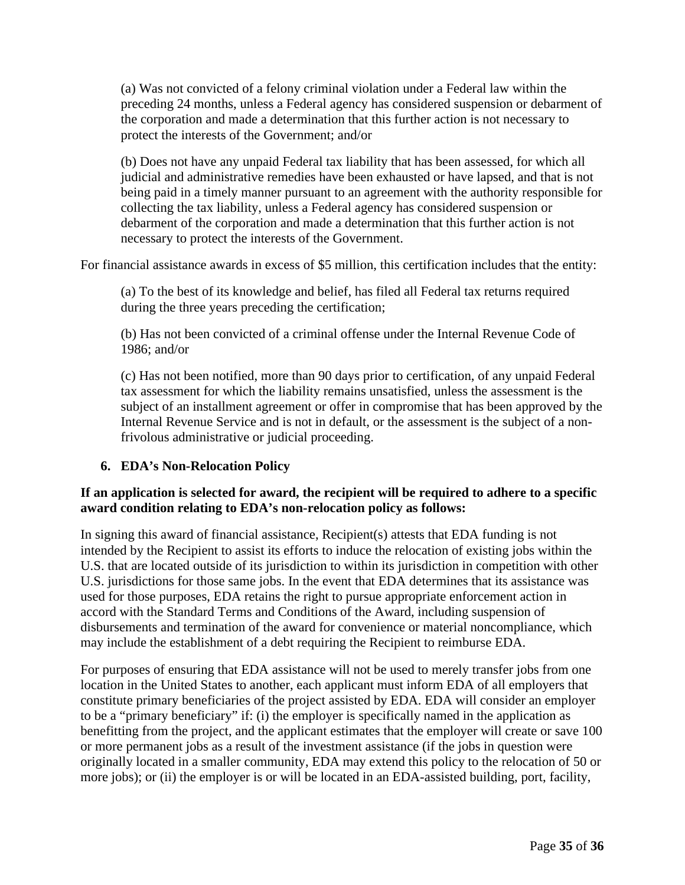(a) Was not convicted of a felony criminal violation under a Federal law within the preceding 24 months, unless a Federal agency has considered suspension or debarment of the corporation and made a determination that this further action is not necessary to protect the interests of the Government; and/or

(b) Does not have any unpaid Federal tax liability that has been assessed, for which all judicial and administrative remedies have been exhausted or have lapsed, and that is not being paid in a timely manner pursuant to an agreement with the authority responsible for collecting the tax liability, unless a Federal agency has considered suspension or debarment of the corporation and made a determination that this further action is not necessary to protect the interests of the Government.

For financial assistance awards in excess of \$5 million, this certification includes that the entity:

(a) To the best of its knowledge and belief, has filed all Federal tax returns required during the three years preceding the certification;

(b) Has not been convicted of a criminal offense under the Internal Revenue Code of 1986; and/or

(c) Has not been notified, more than 90 days prior to certification, of any unpaid Federal tax assessment for which the liability remains unsatisfied, unless the assessment is the subject of an installment agreement or offer in compromise that has been approved by the Internal Revenue Service and is not in default, or the assessment is the subject of a nonfrivolous administrative or judicial proceeding.

## <span id="page-34-0"></span>**6. EDA's Non-Relocation Policy**

## **If an application is selected for award, the recipient will be required to adhere to a specific award condition relating to EDA's non-relocation policy as follows:**

In signing this award of financial assistance, Recipient(s) attests that EDA funding is not intended by the Recipient to assist its efforts to induce the relocation of existing jobs within the U.S. that are located outside of its jurisdiction to within its jurisdiction in competition with other U.S. jurisdictions for those same jobs. In the event that EDA determines that its assistance was used for those purposes, EDA retains the right to pursue appropriate enforcement action in accord with the Standard Terms and Conditions of the Award, including suspension of disbursements and termination of the award for convenience or material noncompliance, which may include the establishment of a debt requiring the Recipient to reimburse EDA.

For purposes of ensuring that EDA assistance will not be used to merely transfer jobs from one location in the United States to another, each applicant must inform EDA of all employers that constitute primary beneficiaries of the project assisted by EDA. EDA will consider an employer to be a "primary beneficiary" if: (i) the employer is specifically named in the application as benefitting from the project, and the applicant estimates that the employer will create or save 100 or more permanent jobs as a result of the investment assistance (if the jobs in question were originally located in a smaller community, EDA may extend this policy to the relocation of 50 or more jobs); or (ii) the employer is or will be located in an EDA-assisted building, port, facility,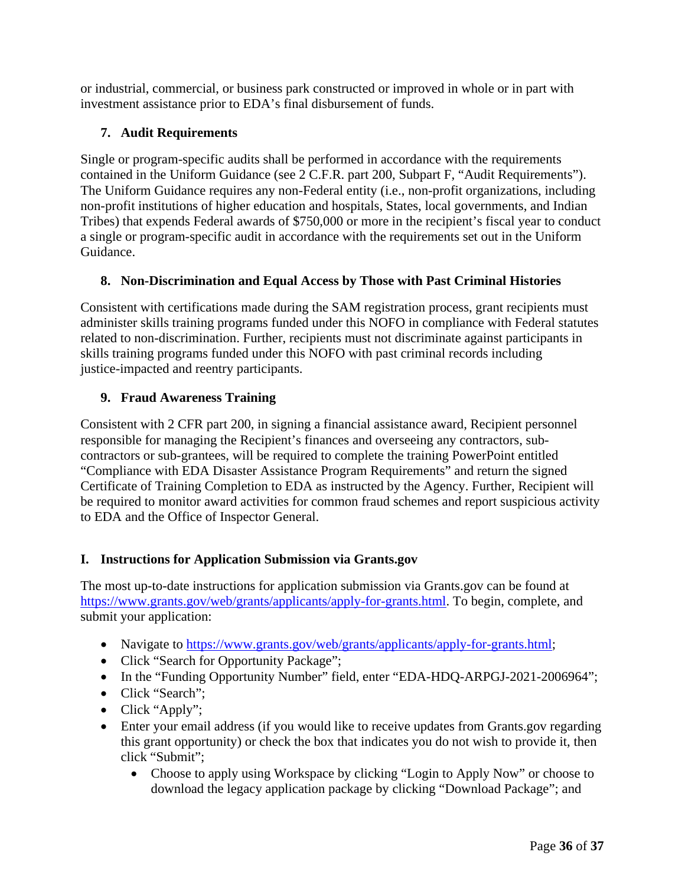or industrial, commercial, or business park constructed or improved in whole or in part with investment assistance prior to EDA's final disbursement of funds.

## <span id="page-35-0"></span>**7. Audit Requirements**

Single or program-specific audits shall be performed in accordance with the requirements contained in the Uniform Guidance (see 2 C.F.R. part 200, Subpart F, "Audit Requirements"). The Uniform Guidance requires any non-Federal entity (i.e., non-profit organizations, including non-profit institutions of higher education and hospitals, States, local governments, and Indian Tribes) that expends Federal awards of \$750,000 or more in the recipient's fiscal year to conduct a single or program-specific audit in accordance with the requirements set out in the Uniform Guidance.

## <span id="page-35-1"></span>**8. Non-Discrimination and Equal Access by Those with Past Criminal Histories**

Consistent with certifications made during the SAM registration process, grant recipients must administer skills training programs funded under this NOFO in compliance with Federal statutes related to non-discrimination. Further, recipients must not discriminate against participants in skills training programs funded under this NOFO with past criminal records including justice-impacted and reentry participants.

## <span id="page-35-2"></span>**9. Fraud Awareness Training**

Consistent with 2 CFR part 200, in signing a financial assistance award, Recipient personnel responsible for managing the Recipient's finances and overseeing any contractors, subcontractors or sub-grantees, will be required to complete the training PowerPoint entitled "Compliance with EDA Disaster Assistance Program Requirements" and return the signed Certificate of Training Completion to EDA as instructed by the Agency. Further, Recipient will be required to monitor award activities for common fraud schemes and report suspicious activity to EDA and the Office of Inspector General.

## <span id="page-35-3"></span>**I. Instructions for Application Submission via Grants.gov**

The most up-to-date instructions for application submission via Grants.gov can be found at [https://www.grants.gov/web/grants/applicants/apply-for-grants.html.](https://www.grants.gov/web/grants/applicants/apply-for-grants.html) To begin, complete, and submit your application:

- Navigate to [https://www.grants.gov/web/grants/applicants/apply-for-grants.html;](https://www.grants.gov/web/grants/applicants/apply-for-grants.html)
- Click "Search for Opportunity Package";
- In the "Funding Opportunity Number" field, enter "EDA-HDQ-ARPGJ-2021-2006964";
- Click "Search";
- Click "Apply";
- Enter your email address (if you would like to receive updates from Grants.gov regarding this grant opportunity) or check the box that indicates you do not wish to provide it, then click "Submit";
	- Choose to apply using Workspace by clicking "Login to Apply Now" or choose to download the legacy application package by clicking "Download Package"; and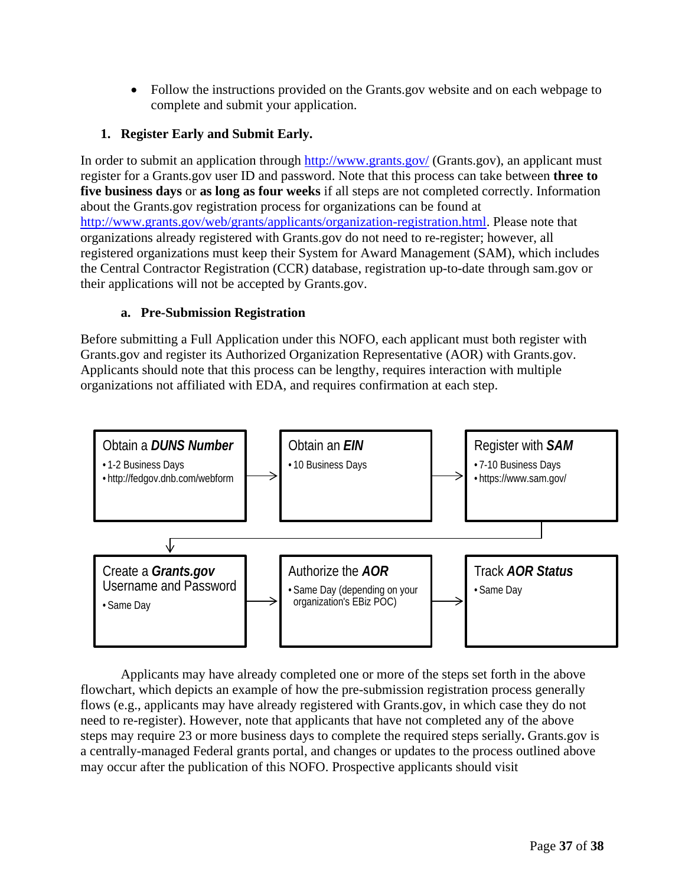• Follow the instructions provided on the Grants.gov website and on each webpage to complete and submit your application.

# <span id="page-36-0"></span>**1. Register Early and Submit Early.**

In order to submit an application through<http://www.grants.gov/> (Grants.gov), an applicant must register for a Grants.gov user ID and password. Note that this process can take between **three to five business days** or **as long as four weeks** if all steps are not completed correctly. Information about the Grants.gov registration process for organizations can be found at [http://www.grants.gov/web/grants/applicants/organization-registration.html.](http://www.grants.gov/web/grants/applicants/organization-registration.html) Please note that organizations already registered with Grants.gov do not need to re-register; however, all registered organizations must keep their System for Award Management (SAM), which includes the Central Contractor Registration (CCR) database, registration up-to-date through sam.gov or their applications will not be accepted by Grants.gov.

## **a. Pre-Submission Registration**

Before submitting a Full Application under this NOFO, each applicant must both register with Grants.gov and register its Authorized Organization Representative (AOR) with Grants.gov. Applicants should note that this process can be lengthy, requires interaction with multiple organizations not affiliated with EDA, and requires confirmation at each step.



Applicants may have already completed one or more of the steps set forth in the above flowchart, which depicts an example of how the pre-submission registration process generally flows (e.g., applicants may have already registered with Grants.gov, in which case they do not need to re-register). However, note that applicants that have not completed any of the above steps may require 23 or more business days to complete the required steps serially**.** Grants.gov is a centrally-managed Federal grants portal, and changes or updates to the process outlined above may occur after the publication of this NOFO. Prospective applicants should visit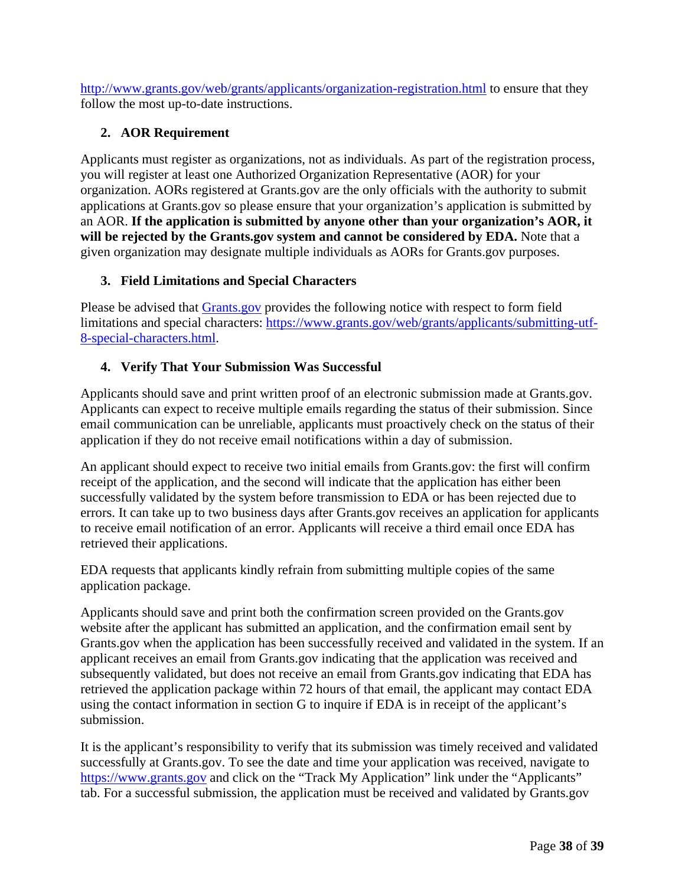<http://www.grants.gov/web/grants/applicants/organization-registration.html> to ensure that they follow the most up-to-date instructions.

## <span id="page-37-0"></span>**2. AOR Requirement**

Applicants must register as organizations, not as individuals. As part of the registration process, you will register at least one Authorized Organization Representative (AOR) for your organization. AORs registered at Grants.gov are the only officials with the authority to submit applications at Grants.gov so please ensure that your organization's application is submitted by an AOR. **If the application is submitted by anyone other than your organization's AOR, it**  will be rejected by the Grants.gov system and cannot be considered by EDA. Note that a given organization may designate multiple individuals as AORs for Grants.gov purposes.

## <span id="page-37-1"></span>**3. Field Limitations and Special Characters**

Please be advised that **Grants.gov** provides the following notice with respect to form field limitations and special characters: [https://www.grants.gov/web/grants/applicants/submitting-utf-](https://www.grants.gov/web/grants/applicants/submitting-utf-8-special-characters.html)[8-special-characters.html.](https://www.grants.gov/web/grants/applicants/submitting-utf-8-special-characters.html)

## <span id="page-37-2"></span>**4. Verify That Your Submission Was Successful**

Applicants should save and print written proof of an electronic submission made at Grants.gov. Applicants can expect to receive multiple emails regarding the status of their submission. Since email communication can be unreliable, applicants must proactively check on the status of their application if they do not receive email notifications within a day of submission.

An applicant should expect to receive two initial emails from Grants.gov: the first will confirm receipt of the application, and the second will indicate that the application has either been successfully validated by the system before transmission to EDA or has been rejected due to errors. It can take up to two business days after Grants.gov receives an application for applicants to receive email notification of an error. Applicants will receive a third email once EDA has retrieved their applications.

EDA requests that applicants kindly refrain from submitting multiple copies of the same application package.

Applicants should save and print both the confirmation screen provided on the Grants.gov website after the applicant has submitted an application, and the confirmation email sent by Grants.gov when the application has been successfully received and validated in the system. If an applicant receives an email from Grants.gov indicating that the application was received and subsequently validated, but does not receive an email from [Grants.gov i](http://www.grants.gov/)ndicating that EDA has retrieved the application package within 72 hours of that email, the applicant may contact EDA using the contact information in section [G](#page-32-0) to inquire if EDA is in receipt of the applicant's submission.

It is the applicant's responsibility to verify that its submission was timely received and validated successfully at Grants.gov. To see the date and time your application was received, navigate to [https://www.grants.gov](https://www.grants.gov/) and click on the "Track My Application" link under the "Applicants" tab. For a successful submission, the application must be received and validated by Grants.gov